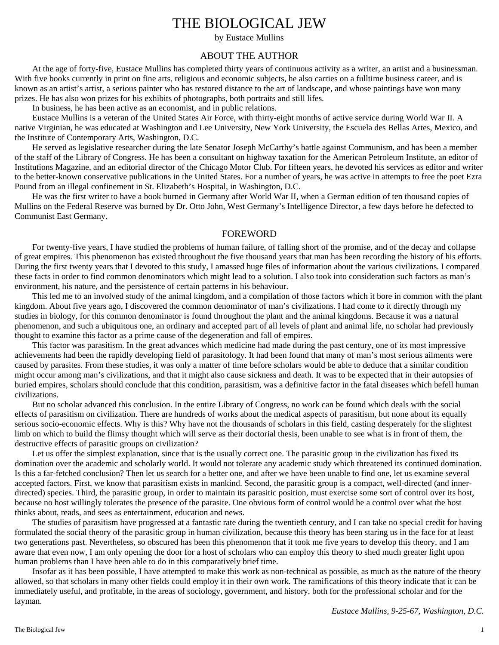# THE BIOLOGICAL JEW

by Eustace Mullins

# ABOUT THE AUTHOR

At the age of forty-five, Eustace Mullins has completed thirty years of continuous activity as a writer, an artist and a businessman. With five books currently in print on fine arts, religious and economic subjects, he also carries on a fulltime business career, and is known as an artist's artist, a serious painter who has restored distance to the art of landscape, and whose paintings have won many prizes. He has also won prizes for his exhibits of photographs, both portraits and still lifes.

In business, he has been active as an economist, and in public relations.

Eustace Mullins is a veteran of the United States Air Force, with thirty-eight months of active service during World War II. A native Virginian, he was educated at Washington and Lee University, New York University, the Escuela des Bellas Artes, Mexico, and the Institute of Contemporary Arts, Washington, D.C.

He served as legislative researcher during the late Senator Joseph McCarthy's battle against Communism, and has been a member of the staff of the Library of Congress. He has been a consultant on highway taxation for the American Petroleum Institute, an editor of Institutions Magazine, and an editorial director of the Chicago Motor Club. For fifteen years, he devoted his services as editor and writer to the better-known conservative publications in the United States. For a number of years, he was active in attempts to free the poet Ezra Pound from an illegal confinement in St. Elizabeth's Hospital, in Washington, D.C.

He was the first writer to have a book burned in Germany after World War II, when a German edition of ten thousand copies of Mullins on the Federal Reserve was burned by Dr. Otto John, West Germany's Intelligence Director, a few days before he defected to Communist East Germany.

## FOREWORD

For twenty-five years, I have studied the problems of human failure, of falling short of the promise, and of the decay and collapse of great empires. This phenomenon has existed throughout the five thousand years that man has been recording the history of his efforts. During the first twenty years that I devoted to this study, I amassed huge files of information about the various civilizations. I compared these facts in order to find common denominators which might lead to a solution. I also took into consideration such factors as man's environment, his nature, and the persistence of certain patterns in his behaviour.

This led me to an involved study of the animal kingdom, and a compilation of those factors which it bore in common with the plant kingdom. About five years ago, I discovered the common denominator of man's civilizations. I had come to it directly through my studies in biology, for this common denominator is found throughout the plant and the animal kingdoms. Because it was a natural phenomenon, and such a ubiquitous one, an ordinary and accepted part of all levels of plant and animal life, no scholar had previously thought to examine this factor as a prime cause of the degeneration and fall of empires.

This factor was parasitism. In the great advances which medicine had made during the past century, one of its most impressive achievements had been the rapidly developing field of parasitology. It had been found that many of man's most serious ailments were caused by parasites. From these studies, it was only a matter of time before scholars would be able to deduce that a similar condition might occur among man's civilizations, and that it might also cause sickness and death. It was to be expected that in their autopsies of buried empires, scholars should conclude that this condition, parasitism, was a definitive factor in the fatal diseases which befell human civilizations.

But no scholar advanced this conclusion. In the entire Library of Congress, no work can be found which deals with the social effects of parasitism on civilization. There are hundreds of works about the medical aspects of parasitism, but none about its equally serious socio-economic effects. Why is this? Why have not the thousands of scholars in this field, casting desperately for the slightest limb on which to build the flimsy thought which will serve as their doctorial thesis, been unable to see what is in front of them, the destructive effects of parasitic groups on civilization?

Let us offer the simplest explanation, since that is the usually correct one. The parasitic group in the civilization has fixed its domination over the academic and scholarly world. It would not tolerate any academic study which threatened its continued domination. Is this a far-fetched conclusion? Then let us search for a better one, and after we have been unable to find one, let us examine several accepted factors. First, we know that parasitism exists in mankind. Second, the parasitic group is a compact, well-directed (and innerdirected) species. Third, the parasitic group, in order to maintain its parasitic position, must exercise some sort of control over its host, because no host willingly tolerates the presence of the parasite. One obvious form of control would be a control over what the host thinks about, reads, and sees as entertainment, education and news.

The studies of parasitism have progressed at a fantastic rate during the twentieth century, and I can take no special credit for having formulated the social theory of the parasitic group in human civilization, because this theory has been staring us in the face for at least two generations past. Nevertheless, so obscured has been this phenomenon that it took me five years to develop this theory, and I am aware that even now, I am only opening the door for a host of scholars who can employ this theory to shed much greater light upon human problems than I have been able to do in this comparatively brief time.

Insofar as it has been possible, I have attempted to make this work as non-technical as possible, as much as the nature of the theory allowed, so that scholars in many other fields could employ it in their own work. The ramifications of this theory indicate that it can be immediately useful, and profitable, in the areas of sociology, government, and history, both for the professional scholar and for the layman.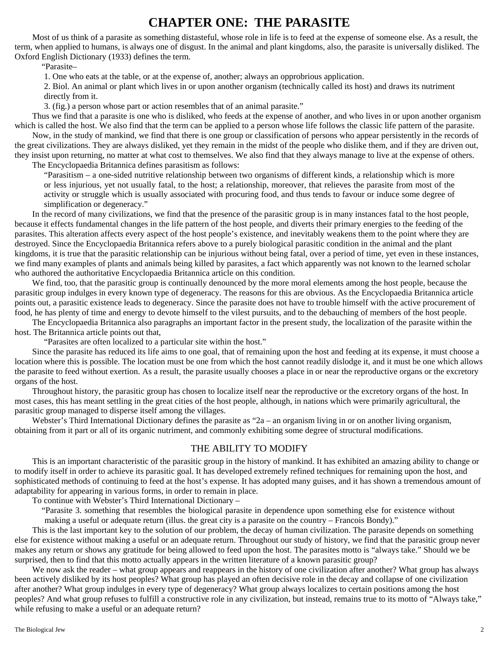# **CHAPTER ONE: THE PARASITE**

Most of us think of a parasite as something distasteful, whose role in life is to feed at the expense of someone else. As a result, the term, when applied to humans, is always one of disgust. In the animal and plant kingdoms, also, the parasite is universally disliked. The Oxford English Dictionary (1933) defines the term.

"Parasite–

1. One who eats at the table, or at the expense of, another; always an opprobrious application.

2. Biol. An animal or plant which lives in or upon another organism (technically called its host) and draws its nutriment directly from it.

3. (fig.) a person whose part or action resembles that of an animal parasite."

Thus we find that a parasite is one who is disliked, who feeds at the expense of another, and who lives in or upon another organism which is called the host. We also find that the term can be applied to a person whose life follows the classic life pattern of the parasite.

Now, in the study of mankind, we find that there is one group or classification of persons who appear persistently in the records of the great civilizations. They are always disliked, yet they remain in the midst of the people who dislike them, and if they are driven out, they insist upon returning, no matter at what cost to themselves. We also find that they always manage to live at the expense of others. The Encyclopaedia Britannica defines parasitism as follows:

"Parasitism – a one-sided nutritive relationship between two organisms of different kinds, a relationship which is more or less injurious, yet not usually fatal, to the host; a relationship, moreover, that relieves the parasite from most of the activity or struggle which is usually associated with procuring food, and thus tends to favour or induce some degree of simplification or degeneracy."

In the record of many civilizations, we find that the presence of the parasitic group is in many instances fatal to the host people, because it effects fundamental changes in the life pattern of the host people, and diverts their primary energies to the feeding of the parasites. This alteration affects every aspect of the host people's existence, and inevitably weakens them to the point where they are destroyed. Since the Encyclopaedia Britannica refers above to a purely biological parasitic condition in the animal and the plant kingdoms, it is true that the parasitic relationship can be injurious without being fatal, over a period of time, yet even in these instances, we find many examples of plants and animals being killed by parasites, a fact which apparently was not known to the learned scholar who authored the authoritative Encyclopaedia Britannica article on this condition.

We find, too, that the parasitic group is continually denounced by the more moral elements among the host people, because the parasitic group indulges in every known type of degeneracy. The reasons for this are obvious. As the Encyclopaedia Britannica article points out, a parasitic existence leads to degeneracy. Since the parasite does not have to trouble himself with the active procurement of food, he has plenty of time and energy to devote himself to the vilest pursuits, and to the debauching of members of the host people.

The Encyclopaedia Britannica also paragraphs an important factor in the present study, the localization of the parasite within the host. The Britannica article points out that,

"Parasites are often localized to a particular site within the host."

Since the parasite has reduced its life aims to one goal, that of remaining upon the host and feeding at its expense, it must choose a location where this is possible. The location must be one from which the host cannot readily dislodge it, and it must be one which allows the parasite to feed without exertion. As a result, the parasite usually chooses a place in or near the reproductive organs or the excretory organs of the host.

Throughout history, the parasitic group has chosen to localize itself near the reproductive or the excretory organs of the host. In most cases, this has meant settling in the great cities of the host people, although, in nations which were primarily agricultural, the parasitic group managed to disperse itself among the villages.

Webster's Third International Dictionary defines the parasite as "2a – an organism living in or on another living organism, obtaining from it part or all of its organic nutriment, and commonly exhibiting some degree of structural modifications.

# THE ABILITY TO MODIFY

This is an important characteristic of the parasitic group in the history of mankind. It has exhibited an amazing ability to change or to modify itself in order to achieve its parasitic goal. It has developed extremely refined techniques for remaining upon the host, and sophisticated methods of continuing to feed at the host's expense. It has adopted many guises, and it has shown a tremendous amount of adaptability for appearing in various forms, in order to remain in place.

To continue with Webster's Third International Dictionary –

"Parasite 3. something that resembles the biological parasite in dependence upon something else for existence without making a useful or adequate return (illus. the great city is a parasite on the country – Francois Bondy)."

This is the last important key to the solution of our problem, the decay of human civilization. The parasite depends on something else for existence without making a useful or an adequate return. Throughout our study of history, we find that the parasitic group never makes any return or shows any gratitude for being allowed to feed upon the host. The parasites motto is "always take." Should we be surprised, then to find that this motto actually appears in the written literature of a known parasitic group?

We now ask the reader – what group appears and reappears in the history of one civilization after another? What group has always been actively disliked by its host peoples? What group has played an often decisive role in the decay and collapse of one civilization after another? What group indulges in every type of degeneracy? What group always localizes to certain positions among the host peoples? And what group refuses to fulfill a constructive role in any civilization, but instead, remains true to its motto of "Always take," while refusing to make a useful or an adequate return?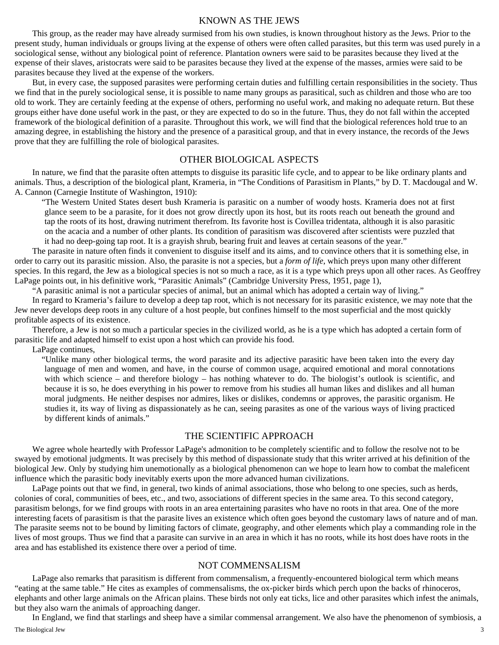#### KNOWN AS THE JEWS

This group, as the reader may have already surmised from his own studies, is known throughout history as the Jews. Prior to the present study, human individuals or groups living at the expense of others were often called parasites, but this term was used purely in a sociological sense, without any biological point of reference. Plantation owners were said to be parasites because they lived at the expense of their slaves, aristocrats were said to be parasites because they lived at the expense of the masses, armies were said to be parasites because they lived at the expense of the workers.

But, in every case, the supposed parasites were performing certain duties and fulfilling certain responsibilities in the society. Thus we find that in the purely sociological sense, it is possible to name many groups as parasitical, such as children and those who are too old to work. They are certainly feeding at the expense of others, performing no useful work, and making no adequate return. But these groups either have done useful work in the past, or they are expected to do so in the future. Thus, they do not fall within the accepted framework of the biological definition of a parasite. Throughout this work, we will find that the biological references hold true to an amazing degree, in establishing the history and the presence of a parasitical group, and that in every instance, the records of the Jews prove that they are fulfilling the role of biological parasites.

## OTHER BIOLOGICAL ASPECTS

In nature, we find that the parasite often attempts to disguise its parasitic life cycle, and to appear to be like ordinary plants and animals. Thus, a description of the biological plant, Krameria, in "The Conditions of Parasitism in Plants," by D. T. Macdougal and W. A. Cannon (Carnegie Institute of Washington, 1910):

"The Western United States desert bush Krameria is parasitic on a number of woody hosts. Krameria does not at first glance seem to be a parasite, for it does not grow directly upon its host, but its roots reach out beneath the ground and tap the roots of its host, drawing nutriment therefrom. Its favorite host is Covillea tridentata, although it is also parasitic on the acacia and a number of other plants. Its condition of parasitism was discovered after scientists were puzzled that it had no deep-going tap root. It is a grayish shrub, bearing fruit and leaves at certain seasons of the year."

The parasite in nature often finds it convenient to disguise itself and its aims, and to convince others that it is something else, in order to carry out its parasitic mission. Also, the parasite is not a species, but a *form of life*, which preys upon many other different species. In this regard, the Jew as a biological species is not so much a race, as it is a type which preys upon all other races. As Geoffrey LaPage points out, in his definitive work, "Parasitic Animals" (Cambridge University Press, 1951, page 1),

"A parasitic animal is not a particular species of animal, but an animal which has adopted a certain way of living."

In regard to Krameria's failure to develop a deep tap root, which is not necessary for its parasitic existence, we may note that the Jew never develops deep roots in any culture of a host people, but confines himself to the most superficial and the most quickly profitable aspects of its existence.

Therefore, a Jew is not so much a particular species in the civilized world, as he is a type which has adopted a certain form of parasitic life and adapted himself to exist upon a host which can provide his food.

LaPage continues,

"Unlike many other biological terms, the word parasite and its adjective parasitic have been taken into the every day language of men and women, and have, in the course of common usage, acquired emotional and moral connotations with which science – and therefore biology – has nothing whatever to do. The biologist's outlook is scientific, and because it is so, he does everything in his power to remove from his studies all human likes and dislikes and all human moral judgments. He neither despises nor admires, likes or dislikes, condemns or approves, the parasitic organism. He studies it, its way of living as dispassionately as he can, seeing parasites as one of the various ways of living practiced by different kinds of animals."

#### THE SCIENTIFIC APPROACH

We agree whole heartedly with Professor LaPage's admonition to be completely scientific and to follow the resolve not to be swayed by emotional judgments. It was precisely by this method of dispassionate study that this writer arrived at his definition of the biological Jew. Only by studying him unemotionally as a biological phenomenon can we hope to learn how to combat the maleficent influence which the parasitic body inevitably exerts upon the more advanced human civilizations.

LaPage points out that we find, in general, two kinds of animal associations, those who belong to one species, such as herds, colonies of coral, communities of bees, etc., and two, associations of different species in the same area. To this second category, parasitism belongs, for we find groups with roots in an area entertaining parasites who have no roots in that area. One of the more interesting facets of parasitism is that the parasite lives an existence which often goes beyond the customary laws of nature and of man. The parasite seems not to be bound by limiting factors of climate, geography, and other elements which play a commanding role in the lives of most groups. Thus we find that a parasite can survive in an area in which it has no roots, while its host does have roots in the area and has established its existence there over a period of time.

## NOT COMMENSALISM

LaPage also remarks that parasitism is different from commensalism, a frequently-encountered biological term which means "eating at the same table." He cites as examples of commensalisms, the ox-picker birds which perch upon the backs of rhinoceros, elephants and other large animals on the African plains. These birds not only eat ticks, lice and other parasites which infest the animals, but they also warn the animals of approaching danger.

The Biological Jew 3 In England, we find that starlings and sheep have a similar commensal arrangement. We also have the phenomenon of symbiosis, a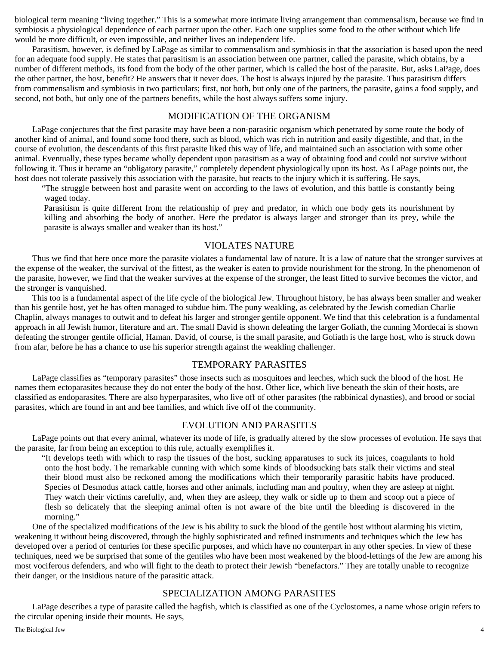biological term meaning "living together." This is a somewhat more intimate living arrangement than commensalism, because we find in symbiosis a physiological dependence of each partner upon the other. Each one supplies some food to the other without which life would be more difficult, or even impossible, and neither lives an independent life.

Parasitism, however, is defined by LaPage as similar to commensalism and symbiosis in that the association is based upon the need for an adequate food supply. He states that parasitism is an association between one partner, called the parasite, which obtains, by a number of different methods, its food from the body of the other partner, which is called the host of the parasite. But, asks LaPage, does the other partner, the host, benefit? He answers that it never does. The host is always injured by the parasite. Thus parasitism differs from commensalism and symbiosis in two particulars; first, not both, but only one of the partners, the parasite, gains a food supply, and second, not both, but only one of the partners benefits, while the host always suffers some injury.

# MODIFICATION OF THE ORGANISM

LaPage conjectures that the first parasite may have been a non-parasitic organism which penetrated by some route the body of another kind of animal, and found some food there, such as blood, which was rich in nutrition and easily digestible, and that, in the course of evolution, the descendants of this first parasite liked this way of life, and maintained such an association with some other animal. Eventually, these types became wholly dependent upon parasitism as a way of obtaining food and could not survive without following it. Thus it became an "obligatory parasite," completely dependent physiologically upon its host. As LaPage points out, the host does not tolerate passively this association with the parasite, but reacts to the injury which it is suffering. He says,

"The struggle between host and parasite went on according to the laws of evolution, and this battle is constantly being waged today.

Parasitism is quite different from the relationship of prey and predator, in which one body gets its nourishment by killing and absorbing the body of another. Here the predator is always larger and stronger than its prey, while the parasite is always smaller and weaker than its host."

# VIOLATES NATURE

Thus we find that here once more the parasite violates a fundamental law of nature. It is a law of nature that the stronger survives at the expense of the weaker, the survival of the fittest, as the weaker is eaten to provide nourishment for the strong. In the phenomenon of the parasite, however, we find that the weaker survives at the expense of the stronger, the least fitted to survive becomes the victor, and the stronger is vanquished.

This too is a fundamental aspect of the life cycle of the biological Jew. Throughout history, he has always been smaller and weaker than his gentile host, yet he has often managed to subdue him. The puny weakling, as celebrated by the Jewish comedian Charlie Chaplin, always manages to outwit and to defeat his larger and stronger gentile opponent. We find that this celebration is a fundamental approach in all Jewish humor, literature and art. The small David is shown defeating the larger Goliath, the cunning Mordecai is shown defeating the stronger gentile official, Haman. David, of course, is the small parasite, and Goliath is the large host, who is struck down from afar, before he has a chance to use his superior strength against the weakling challenger.

# TEMPORARY PARASITES

LaPage classifies as "temporary parasites" those insects such as mosquitoes and leeches, which suck the blood of the host. He names them ectoparasites because they do not enter the body of the host. Other lice, which live beneath the skin of their hosts, are classified as endoparasites. There are also hyperparasites, who live off of other parasites (the rabbinical dynasties), and brood or social parasites, which are found in ant and bee families, and which live off of the community.

# EVOLUTION AND PARASITES

LaPage points out that every animal, whatever its mode of life, is gradually altered by the slow processes of evolution. He says that the parasite, far from being an exception to this rule, actually exemplifies it.

"It develops teeth with which to rasp the tissues of the host, sucking apparatuses to suck its juices, coagulants to hold onto the host body. The remarkable cunning with which some kinds of bloodsucking bats stalk their victims and steal their blood must also be reckoned among the modifications which their temporarily parasitic habits have produced. Species of Desmodus attack cattle, horses and other animals, including man and poultry, when they are asleep at night. They watch their victims carefully, and, when they are asleep, they walk or sidle up to them and scoop out a piece of flesh so delicately that the sleeping animal often is not aware of the bite until the bleeding is discovered in the morning."

One of the specialized modifications of the Jew is his ability to suck the blood of the gentile host without alarming his victim, weakening it without being discovered, through the highly sophisticated and refined instruments and techniques which the Jew has developed over a period of centuries for these specific purposes, and which have no counterpart in any other species. In view of these techniques, need we be surprised that some of the gentiles who have been most weakened by the blood-lettings of the Jew are among his most vociferous defenders, and who will fight to the death to protect their Jewish "benefactors." They are totally unable to recognize their danger, or the insidious nature of the parasitic attack.

# SPECIALIZATION AMONG PARASITES

LaPage describes a type of parasite called the hagfish, which is classified as one of the Cyclostomes, a name whose origin refers to the circular opening inside their mounts. He says,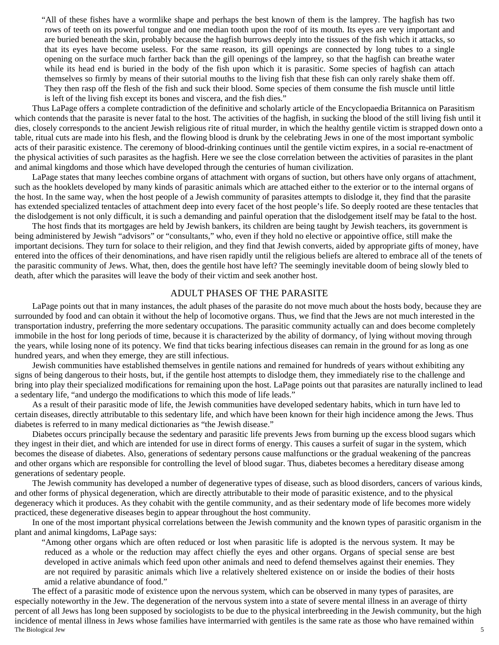"All of these fishes have a wormlike shape and perhaps the best known of them is the lamprey. The hagfish has two rows of teeth on its powerful tongue and one median tooth upon the roof of its mouth. Its eyes are very important and are buried beneath the skin, probably because the hagfish burrows deeply into the tissues of the fish which it attacks, so that its eyes have become useless. For the same reason, its gill openings are connected by long tubes to a single opening on the surface much farther back than the gill openings of the lamprey, so that the hagfish can breathe water while its head end is buried in the body of the fish upon which it is parasitic. Some species of hagfish can attach themselves so firmly by means of their sutorial mouths to the living fish that these fish can only rarely shake them off. They then rasp off the flesh of the fish and suck their blood. Some species of them consume the fish muscle until little is left of the living fish except its bones and viscera, and the fish dies."

Thus LaPage offers a complete contradiction of the definitive and scholarly article of the Encyclopaedia Britannica on Parasitism which contends that the parasite is never fatal to the host. The activities of the hagfish, in sucking the blood of the still living fish until it dies, closely corresponds to the ancient Jewish religious rite of ritual murder, in which the healthy gentile victim is strapped down onto a table, ritual cuts are made into his flesh, and the flowing blood is drunk by the celebrating Jews in one of the most important symbolic acts of their parasitic existence. The ceremony of blood-drinking continues until the gentile victim expires, in a social re-enactment of the physical activities of such parasites as the hagfish. Here we see the close correlation between the activities of parasites in the plant and animal kingdoms and those which have developed through the centuries of human civilization.

LaPage states that many leeches combine organs of attachment with organs of suction, but others have only organs of attachment, such as the hooklets developed by many kinds of parasitic animals which are attached either to the exterior or to the internal organs of the host. In the same way, when the host people of a Jewish community of parasites attempts to dislodge it, they find that the parasite has extended specialized tentacles of attachment deep into every facet of the host people's life. So deeply rooted are these tentacles that the dislodgement is not only difficult, it is such a demanding and painful operation that the dislodgement itself may be fatal to the host.

The host finds that its mortgages are held by Jewish bankers, its children are being taught by Jewish teachers, its government is being administered by Jewish "advisors" or "consultants," who, even if they hold no elective or appointive office, still make the important decisions. They turn for solace to their religion, and they find that Jewish converts, aided by appropriate gifts of money, have entered into the offices of their denominations, and have risen rapidly until the religious beliefs are altered to embrace all of the tenets of the parasitic community of Jews. What, then, does the gentile host have left? The seemingly inevitable doom of being slowly bled to death, after which the parasites will leave the body of their victim and seek another host.

## ADULT PHASES OF THE PARASITE

LaPage points out that in many instances, the adult phases of the parasite do not move much about the hosts body, because they are surrounded by food and can obtain it without the help of locomotive organs. Thus, we find that the Jews are not much interested in the transportation industry, preferring the more sedentary occupations. The parasitic community actually can and does become completely immobile in the host for long periods of time, because it is characterized by the ability of dormancy, of lying without moving through the years, while losing none of its potency. We find that ticks bearing infectious diseases can remain in the ground for as long as one hundred years, and when they emerge, they are still infectious.

Jewish communities have established themselves in gentile nations and remained for hundreds of years without exhibiting any signs of being dangerous to their hosts, but, if the gentile host attempts to dislodge them, they immediately rise to the challenge and bring into play their specialized modifications for remaining upon the host. LaPage points out that parasites are naturally inclined to lead a sedentary life, "and undergo the modifications to which this mode of life leads."

As a result of their parasitic mode of life, the Jewish communities have developed sedentary habits, which in turn have led to certain diseases, directly attributable to this sedentary life, and which have been known for their high incidence among the Jews. Thus diabetes is referred to in many medical dictionaries as "the Jewish disease."

Diabetes occurs principally because the sedentary and parasitic life prevents Jews from burning up the excess blood sugars which they ingest in their diet, and which are intended for use in direct forms of energy. This causes a surfeit of sugar in the system, which becomes the disease of diabetes. Also, generations of sedentary persons cause malfunctions or the gradual weakening of the pancreas and other organs which are responsible for controlling the level of blood sugar. Thus, diabetes becomes a hereditary disease among generations of sedentary people.

The Jewish community has developed a number of degenerative types of disease, such as blood disorders, cancers of various kinds, and other forms of physical degeneration, which are directly attributable to their mode of parasitic existence, and to the physical degeneracy which it produces. As they cohabit with the gentile community, and as their sedentary mode of life becomes more widely practiced, these degenerative diseases begin to appear throughout the host community.

In one of the most important physical correlations between the Jewish community and the known types of parasitic organism in the plant and animal kingdoms, LaPage says:

"Among other organs which are often reduced or lost when parasitic life is adopted is the nervous system. It may be reduced as a whole or the reduction may affect chiefly the eyes and other organs. Organs of special sense are best developed in active animals which feed upon other animals and need to defend themselves against their enemies. They are not required by parasitic animals which live a relatively sheltered existence on or inside the bodies of their hosts amid a relative abundance of food."

The Biological Jew 5 The effect of a parasitic mode of existence upon the nervous system, which can be observed in many types of parasites, are especially noteworthy in the Jew. The degeneration of the nervous system into a state of severe mental illness in an average of thirty percent of all Jews has long been supposed by sociologists to be due to the physical interbreeding in the Jewish community, but the high incidence of mental illness in Jews whose families have intermarried with gentiles is the same rate as those who have remained within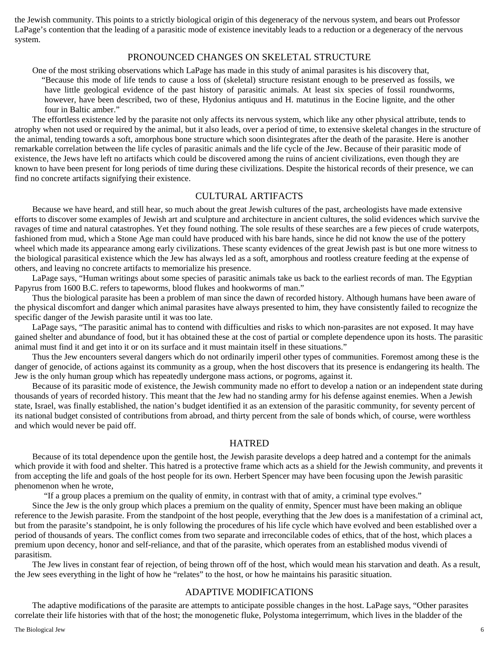the Jewish community. This points to a strictly biological origin of this degeneracy of the nervous system, and bears out Professor LaPage's contention that the leading of a parasitic mode of existence inevitably leads to a reduction or a degeneracy of the nervous system.

# PRONOUNCED CHANGES ON SKELETAL STRUCTURE

One of the most striking observations which LaPage has made in this study of animal parasites is his discovery that, "Because this mode of life tends to cause a loss of (skeletal) structure resistant enough to be preserved as fossils, we have little geological evidence of the past history of parasitic animals. At least six species of fossil roundworms, however, have been described, two of these, Hydonius antiquus and H. matutinus in the Eocine lignite, and the other four in Baltic amber."

The effortless existence led by the parasite not only affects its nervous system, which like any other physical attribute, tends to atrophy when not used or required by the animal, but it also leads, over a period of time, to extensive skeletal changes in the structure of the animal, tending towards a soft, amorphous bone structure which soon disintegrates after the death of the parasite. Here is another remarkable correlation between the life cycles of parasitic animals and the life cycle of the Jew. Because of their parasitic mode of existence, the Jews have left no artifacts which could be discovered among the ruins of ancient civilizations, even though they are known to have been present for long periods of time during these civilizations. Despite the historical records of their presence, we can find no concrete artifacts signifying their existence.

# CULTURAL ARTIFACTS

Because we have heard, and still hear, so much about the great Jewish cultures of the past, archeologists have made extensive efforts to discover some examples of Jewish art and sculpture and architecture in ancient cultures, the solid evidences which survive the ravages of time and natural catastrophes. Yet they found nothing. The sole results of these searches are a few pieces of crude waterpots, fashioned from mud, which a Stone Age man could have produced with his bare hands, since he did not know the use of the pottery wheel which made its appearance among early civilizations. These scanty evidences of the great Jewish past is but one more witness to the biological parasitical existence which the Jew has always led as a soft, amorphous and rootless creature feeding at the expense of others, and leaving no concrete artifacts to memorialize his presence.

LaPage says, "Human writings about some species of parasitic animals take us back to the earliest records of man. The Egyptian Papyrus from 1600 B.C. refers to tapeworms, blood flukes and hookworms of man."

Thus the biological parasite has been a problem of man since the dawn of recorded history. Although humans have been aware of the physical discomfort and danger which animal parasites have always presented to him, they have consistently failed to recognize the specific danger of the Jewish parasite until it was too late.

LaPage says, "The parasitic animal has to contend with difficulties and risks to which non-parasites are not exposed. It may have gained shelter and abundance of food, but it has obtained these at the cost of partial or complete dependence upon its hosts. The parasitic animal must find it and get into it or on its surface and it must maintain itself in these situations."

Thus the Jew encounters several dangers which do not ordinarily imperil other types of communities. Foremost among these is the danger of genocide, of actions against its community as a group, when the host discovers that its presence is endangering its health. The Jew is the only human group which has repeatedly undergone mass actions, or pogroms, against it.

Because of its parasitic mode of existence, the Jewish community made no effort to develop a nation or an independent state during thousands of years of recorded history. This meant that the Jew had no standing army for his defense against enemies. When a Jewish state, Israel, was finally established, the nation's budget identified it as an extension of the parasitic community, for seventy percent of its national budget consisted of contributions from abroad, and thirty percent from the sale of bonds which, of course, were worthless and which would never be paid off.

# **HATRED**

Because of its total dependence upon the gentile host, the Jewish parasite develops a deep hatred and a contempt for the animals which provide it with food and shelter. This hatred is a protective frame which acts as a shield for the Jewish community, and prevents it from accepting the life and goals of the host people for its own. Herbert Spencer may have been focusing upon the Jewish parasitic phenomenon when he wrote,

"If a group places a premium on the quality of enmity, in contrast with that of amity, a criminal type evolves."

Since the Jew is the only group which places a premium on the quality of enmity, Spencer must have been making an oblique reference to the Jewish parasite. From the standpoint of the host people, everything that the Jew does is a manifestation of a criminal act, but from the parasite's standpoint, he is only following the procedures of his life cycle which have evolved and been established over a period of thousands of years. The conflict comes from two separate and irreconcilable codes of ethics, that of the host, which places a premium upon decency, honor and self-reliance, and that of the parasite, which operates from an established modus vivendi of parasitism.

The Jew lives in constant fear of rejection, of being thrown off of the host, which would mean his starvation and death. As a result, the Jew sees everything in the light of how he "relates" to the host, or how he maintains his parasitic situation.

# ADAPTIVE MODIFICATIONS

The adaptive modifications of the parasite are attempts to anticipate possible changes in the host. LaPage says, "Other parasites correlate their life histories with that of the host; the monogenetic fluke, Polystoma integerrimum, which lives in the bladder of the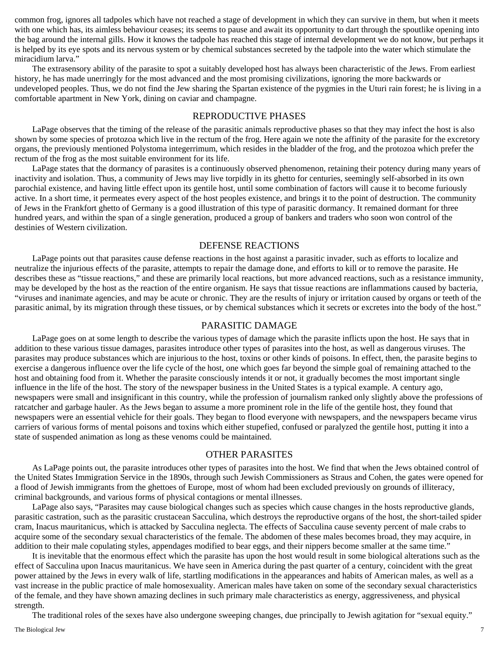common frog, ignores all tadpoles which have not reached a stage of development in which they can survive in them, but when it meets with one which has, its aimless behaviour ceases; its seems to pause and await its opportunity to dart through the spoutlike opening into the bag around the internal gills. How it knows the tadpole has reached this stage of internal development we do not know, but perhaps it is helped by its eye spots and its nervous system or by chemical substances secreted by the tadpole into the water which stimulate the miracidium larva."

The extrasensory ability of the parasite to spot a suitably developed host has always been characteristic of the Jews. From earliest history, he has made unerringly for the most advanced and the most promising civilizations, ignoring the more backwards or undeveloped peoples. Thus, we do not find the Jew sharing the Spartan existence of the pygmies in the Uturi rain forest; he is living in a comfortable apartment in New York, dining on caviar and champagne.

# REPRODUCTIVE PHASES

LaPage observes that the timing of the release of the parasitic animals reproductive phases so that they may infect the host is also shown by some species of protozoa which live in the rectum of the frog. Here again we note the affinity of the parasite for the excretory organs, the previously mentioned Polystoma integerrimum, which resides in the bladder of the frog, and the protozoa which prefer the rectum of the frog as the most suitable environment for its life.

LaPage states that the dormancy of parasites is a continuously observed phenomenon, retaining their potency during many years of inactivity and isolation. Thus, a community of Jews may live torpidly in its ghetto for centuries, seemingly self-absorbed in its own parochial existence, and having little effect upon its gentile host, until some combination of factors will cause it to become furiously active. In a short time, it permeates every aspect of the host peoples existence, and brings it to the point of destruction. The community of Jews in the Frankfort ghetto of Germany is a good illustration of this type of parasitic dormancy. It remained dormant for three hundred years, and within the span of a single generation, produced a group of bankers and traders who soon won control of the destinies of Western civilization.

#### DEFENSE REACTIONS

LaPage points out that parasites cause defense reactions in the host against a parasitic invader, such as efforts to localize and neutralize the injurious effects of the parasite, attempts to repair the damage done, and efforts to kill or to remove the parasite. He describes these as "tissue reactions," and these are primarily local reactions, but more advanced reactions, such as a resistance immunity, may be developed by the host as the reaction of the entire organism. He says that tissue reactions are inflammations caused by bacteria, "viruses and inanimate agencies, and may be acute or chronic. They are the results of injury or irritation caused by organs or teeth of the parasitic animal, by its migration through these tissues, or by chemical substances which it secrets or excretes into the body of the host."

## PARASITIC DAMAGE

LaPage goes on at some length to describe the various types of damage which the parasite inflicts upon the host. He says that in addition to these various tissue damages, parasites introduce other types of parasites into the host, as well as dangerous viruses. The parasites may produce substances which are injurious to the host, toxins or other kinds of poisons. In effect, then, the parasite begins to exercise a dangerous influence over the life cycle of the host, one which goes far beyond the simple goal of remaining attached to the host and obtaining food from it. Whether the parasite consciously intends it or not, it gradually becomes the most important single influence in the life of the host. The story of the newspaper business in the United States is a typical example. A century ago, newspapers were small and insignificant in this country, while the profession of journalism ranked only slightly above the professions of ratcatcher and garbage hauler. As the Jews began to assume a more prominent role in the life of the gentile host, they found that newspapers were an essential vehicle for their goals. They began to flood everyone with newspapers, and the newspapers became virus carriers of various forms of mental poisons and toxins which either stupefied, confused or paralyzed the gentile host, putting it into a state of suspended animation as long as these venoms could be maintained.

## OTHER PARASITES

As LaPage points out, the parasite introduces other types of parasites into the host. We find that when the Jews obtained control of the United States Immigration Service in the 1890s, through such Jewish Commissioners as Straus and Cohen, the gates were opened for a flood of Jewish immigrants from the ghettoes of Europe, most of whom had been excluded previously on grounds of illiteracy, criminal backgrounds, and various forms of physical contagions or mental illnesses.

LaPage also says, "Parasites may cause biological changes such as species which cause changes in the hosts reproductive glands, parasitic castration, such as the parasitic crustacean Sacculina, which destroys the reproductive organs of the host, the short-tailed spider cram, Inacus mauritanicus, which is attacked by Sacculina neglecta. The effects of Sacculina cause seventy percent of male crabs to acquire some of the secondary sexual characteristics of the female. The abdomen of these males becomes broad, they may acquire, in addition to their male copulating styles, appendages modified to bear eggs, and their nippers become smaller at the same time."

It is inevitable that the enormous effect which the parasite has upon the host would result in some biological alterations such as the effect of Sacculina upon Inacus mauritanicus. We have seen in America during the past quarter of a century, coincident with the great power attained by the Jews in every walk of life, startling modifications in the appearances and habits of American males, as well as a vast increase in the public practice of male homosexuality. American males have taken on some of the secondary sexual characteristics of the female, and they have shown amazing declines in such primary male characteristics as energy, aggressiveness, and physical strength.

The traditional roles of the sexes have also undergone sweeping changes, due principally to Jewish agitation for "sexual equity."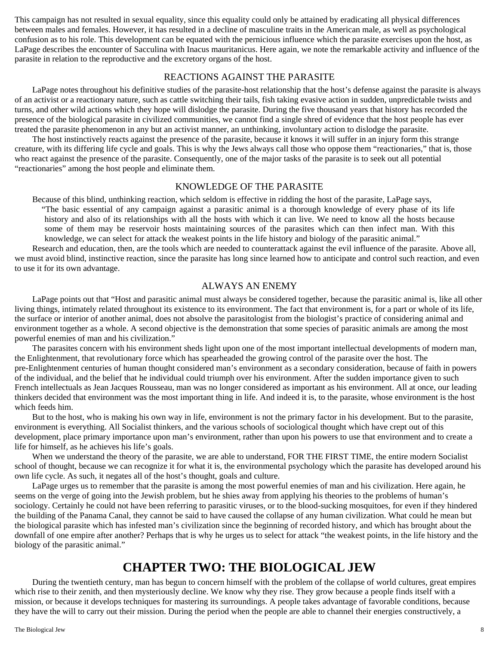This campaign has not resulted in sexual equality, since this equality could only be attained by eradicating all physical differences between males and females. However, it has resulted in a decline of masculine traits in the American male, as well as psychological confusion as to his role. This development can be equated with the pernicious influence which the parasite exercises upon the host, as LaPage describes the encounter of Sacculina with Inacus mauritanicus. Here again, we note the remarkable activity and influence of the parasite in relation to the reproductive and the excretory organs of the host.

# REACTIONS AGAINST THE PARASITE

LaPage notes throughout his definitive studies of the parasite-host relationship that the host's defense against the parasite is always of an activist or a reactionary nature, such as cattle switching their tails, fish taking evasive action in sudden, unpredictable twists and turns, and other wild actions which they hope will dislodge the parasite. During the five thousand years that history has recorded the presence of the biological parasite in civilized communities, we cannot find a single shred of evidence that the host people has ever treated the parasite phenomenon in any but an activist manner, an unthinking, involuntary action to dislodge the parasite.

The host instinctively reacts against the presence of the parasite, because it knows it will suffer in an injury form this strange creature, with its differing life cycle and goals. This is why the Jews always call those who oppose them "reactionaries," that is, those who react against the presence of the parasite. Consequently, one of the major tasks of the parasite is to seek out all potential "reactionaries" among the host people and eliminate them.

## KNOWLEDGE OF THE PARASITE

Because of this blind, unthinking reaction, which seldom is effective in ridding the host of the parasite, LaPage says, "The basic essential of any campaign against a parasitic animal is a thorough knowledge of every phase of its life history and also of its relationships with all the hosts with which it can live. We need to know all the hosts because some of them may be reservoir hosts maintaining sources of the parasites which can then infect man. With this knowledge, we can select for attack the weakest points in the life history and biology of the parasitic animal."

Research and education, then, are the tools which are needed to counterattack against the evil influence of the parasite. Above all, we must avoid blind, instinctive reaction, since the parasite has long since learned how to anticipate and control such reaction, and even to use it for its own advantage.

# ALWAYS AN ENEMY

LaPage points out that "Host and parasitic animal must always be considered together, because the parasitic animal is, like all other living things, intimately related throughout its existence to its environment. The fact that environment is, for a part or whole of its life, the surface or interior of another animal, does not absolve the parasitologist from the biologist's practice of considering animal and environment together as a whole. A second objective is the demonstration that some species of parasitic animals are among the most powerful enemies of man and his civilization."

The parasites concern with his environment sheds light upon one of the most important intellectual developments of modern man, the Enlightenment, that revolutionary force which has spearheaded the growing control of the parasite over the host. The pre-Enlightenment centuries of human thought considered man's environment as a secondary consideration, because of faith in powers of the individual, and the belief that he individual could triumph over his environment. After the sudden importance given to such French intellectuals as Jean Jacques Rousseau, man was no longer considered as important as his environment. All at once, our leading thinkers decided that environment was the most important thing in life. And indeed it is, to the parasite, whose environment is the host which feeds him.

But to the host, who is making his own way in life, environment is not the primary factor in his development. But to the parasite, environment is everything. All Socialist thinkers, and the various schools of sociological thought which have crept out of this development, place primary importance upon man's environment, rather than upon his powers to use that environment and to create a life for himself, as he achieves his life's goals.

When we understand the theory of the parasite, we are able to understand, FOR THE FIRST TIME, the entire modern Socialist school of thought, because we can recognize it for what it is, the environmental psychology which the parasite has developed around his own life cycle. As such, it negates all of the host's thought, goals and culture.

LaPage urges us to remember that the parasite is among the most powerful enemies of man and his civilization. Here again, he seems on the verge of going into the Jewish problem, but he shies away from applying his theories to the problems of human's sociology. Certainly he could not have been referring to parasitic viruses, or to the blood-sucking mosquitoes, for even if they hindered the building of the Panama Canal, they cannot be said to have caused the collapse of any human civilization. What could he mean but the biological parasite which has infested man's civilization since the beginning of recorded history, and which has brought about the downfall of one empire after another? Perhaps that is why he urges us to select for attack "the weakest points, in the life history and the biology of the parasitic animal."

# **CHAPTER TWO: THE BIOLOGICAL JEW**

During the twentieth century, man has begun to concern himself with the problem of the collapse of world cultures, great empires which rise to their zenith, and then mysteriously decline. We know why they rise. They grow because a people finds itself with a mission, or because it develops techniques for mastering its surroundings. A people takes advantage of favorable conditions, because they have the will to carry out their mission. During the period when the people are able to channel their energies constructively, a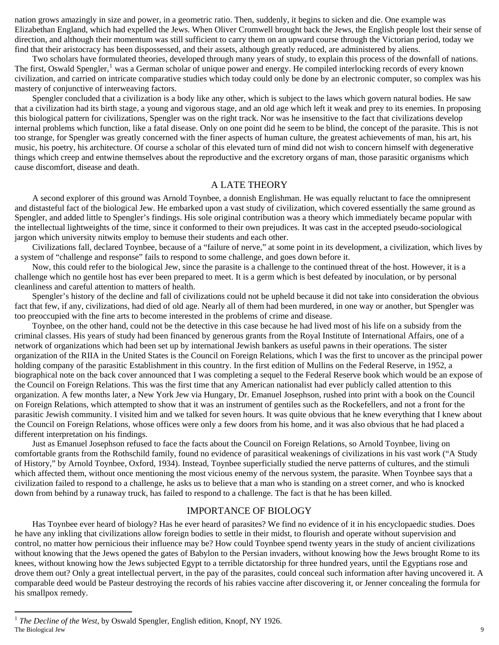nation grows amazingly in size and power, in a geometric ratio. Then, suddenly, it begins to sicken and die. One example was Elizabethan England, which had expelled the Jews. When Oliver Cromwell brought back the Jews, the English people lost their sense of direction, and although their momentum was still sufficient to carry them on an upward course through the Victorian period, today we find that their aristocracy has been dispossessed, and their assets, although greatly reduced, are administered by aliens.

Two scholars have formulated theories, developed through many years of study, to explain this process of the downfall of nations. The first, Oswald Spengler,<sup>[1](#page-8-0)</sup> was a German scholar of unique power and energy. He compiled interlocking records of every known civilization, and carried on intricate comparative studies which today could only be done by an electronic computer, so complex was his mastery of conjunctive of interweaving factors.

Spengler concluded that a civilization is a body like any other, which is subject to the laws which govern natural bodies. He saw that a civilization had its birth stage, a young and vigorous stage, and an old age which left it weak and prey to its enemies. In proposing this biological pattern for civilizations, Spengler was on the right track. Nor was he insensitive to the fact that civilizations develop internal problems which function, like a fatal disease. Only on one point did he seem to be blind, the concept of the parasite. This is not too strange, for Spengler was greatly concerned with the finer aspects of human culture, the greatest achievements of man, his art, his music, his poetry, his architecture. Of course a scholar of this elevated turn of mind did not wish to concern himself with degenerative things which creep and entwine themselves about the reproductive and the excretory organs of man, those parasitic organisms which cause discomfort, disease and death.

## A LATE THEORY

A second explorer of this ground was Arnold Toynbee, a donnish Englishman. He was equally reluctant to face the omnipresent and distasteful fact of the biological Jew. He embarked upon a vast study of civilization, which covered essentially the same ground as Spengler, and added little to Spengler's findings. His sole original contribution was a theory which immediately became popular with the intellectual lightweights of the time, since it conformed to their own prejudices. It was cast in the accepted pseudo-sociological jargon which university nitwits employ to bemuse their students and each other.

Civilizations fall, declared Toynbee, because of a "failure of nerve," at some point in its development, a civilization, which lives by a system of "challenge and response" fails to respond to some challenge, and goes down before it.

Now, this could refer to the biological Jew, since the parasite is a challenge to the continued threat of the host. However, it is a challenge which no gentile host has ever been prepared to meet. It is a germ which is best defeated by inoculation, or by personal cleanliness and careful attention to matters of health.

Spengler's history of the decline and fall of civilizations could not be upheld because it did not take into consideration the obvious fact that few, if any, civilizations, had died of old age. Nearly all of them had been murdered, in one way or another, but Spengler was too preoccupied with the fine arts to become interested in the problems of crime and disease.

Toynbee, on the other hand, could not be the detective in this case because he had lived most of his life on a subsidy from the criminal classes. His years of study had been financed by generous grants from the Royal Institute of International Affairs, one of a network of organizations which had been set up by international Jewish bankers as useful pawns in their operations. The sister organization of the RIIA in the United States is the Council on Foreign Relations, which I was the first to uncover as the principal power holding company of the parasitic Establishment in this country. In the first edition of Mullins on the Federal Reserve, in 1952, a biographical note on the back cover announced that I was completing a sequel to the Federal Reserve book which would be an expose of the Council on Foreign Relations. This was the first time that any American nationalist had ever publicly called attention to this organization. A few months later, a New York Jew via Hungary, Dr. Emanuel Josephson, rushed into print with a book on the Council on Foreign Relations, which attempted to show that it was an instrument of gentiles such as the Rockefellers, and not a front for the parasitic Jewish community. I visited him and we talked for seven hours. It was quite obvious that he knew everything that I knew about the Council on Foreign Relations, whose offices were only a few doors from his home, and it was also obvious that he had placed a different interpretation on his findings.

Just as Emanuel Josephson refused to face the facts about the Council on Foreign Relations, so Arnold Toynbee, living on comfortable grants from the Rothschild family, found no evidence of parasitical weakenings of civilizations in his vast work ("A Study of History," by Arnold Toynbee, Oxford, 1934). Instead, Toynbee superficially studied the nerve patterns of cultures, and the stimuli which affected them, without once mentioning the most vicious enemy of the nervous system, the parasite. When Toynbee says that a civilization failed to respond to a challenge, he asks us to believe that a man who is standing on a street corner, and who is knocked down from behind by a runaway truck, has failed to respond to a challenge. The fact is that he has been killed.

#### IMPORTANCE OF BIOLOGY

Has Toynbee ever heard of biology? Has he ever heard of parasites? We find no evidence of it in his encyclopaedic studies. Does he have any inkling that civilizations allow foreign bodies to settle in their midst, to flourish and operate without supervision and control, no matter how pernicious their influence may be? How could Toynbee spend twenty years in the study of ancient civilizations without knowing that the Jews opened the gates of Babylon to the Persian invaders, without knowing how the Jews brought Rome to its knees, without knowing how the Jews subjected Egypt to a terrible dictatorship for three hundred years, until the Egyptians rose and drove them out? Only a great intellectual pervert, in the pay of the parasites, could conceal such information after having uncovered it. A comparable deed would be Pasteur destroying the records of his rabies vaccine after discovering it, or Jenner concealing the formula for his smallpox remedy.

 $\overline{a}$ 

<span id="page-8-0"></span>The Biological Jew 9  $1$  *The Decline of the West*, by Oswald Spengler, English edition, Knopf, NY 1926. The Biological Jew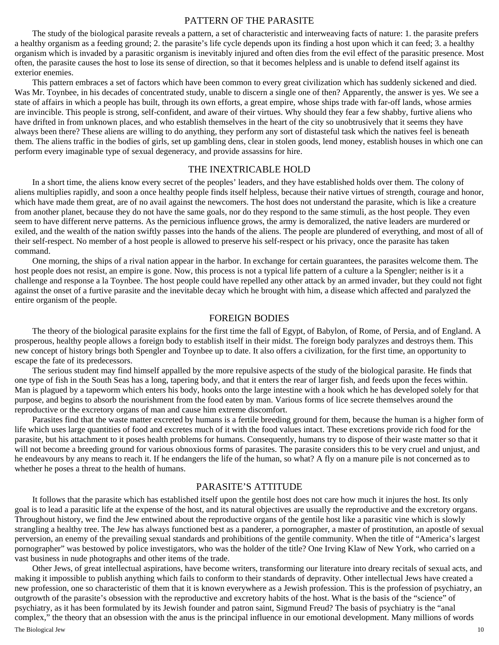#### PATTERN OF THE PARASITE

The study of the biological parasite reveals a pattern, a set of characteristic and interweaving facts of nature: 1. the parasite prefers a healthy organism as a feeding ground; 2. the parasite's life cycle depends upon its finding a host upon which it can feed; 3. a healthy organism which is invaded by a parasitic organism is inevitably injured and often dies from the evil effect of the parasitic presence. Most often, the parasite causes the host to lose its sense of direction, so that it becomes helpless and is unable to defend itself against its exterior enemies.

This pattern embraces a set of factors which have been common to every great civilization which has suddenly sickened and died. Was Mr. Toynbee, in his decades of concentrated study, unable to discern a single one of then? Apparently, the answer is yes. We see a state of affairs in which a people has built, through its own efforts, a great empire, whose ships trade with far-off lands, whose armies are invincible. This people is strong, self-confident, and aware of their virtues. Why should they fear a few shabby, furtive aliens who have drifted in from unknown places, and who establish themselves in the heart of the city so unobtrusively that it seems they have always been there? These aliens are willing to do anything, they perform any sort of distasteful task which the natives feel is beneath them. The aliens traffic in the bodies of girls, set up gambling dens, clear in stolen goods, lend money, establish houses in which one can perform every imaginable type of sexual degeneracy, and provide assassins for hire.

#### THE INEXTRICABLE HOLD

In a short time, the aliens know every secret of the peoples' leaders, and they have established holds over them. The colony of aliens multiplies rapidly, and soon a once healthy people finds itself helpless, because their native virtues of strength, courage and honor, which have made them great, are of no avail against the newcomers. The host does not understand the parasite, which is like a creature from another planet, because they do not have the same goals, nor do they respond to the same stimuli, as the host people. They even seem to have different nerve patterns. As the pernicious influence grows, the army is demoralized, the native leaders are murdered or exiled, and the wealth of the nation swiftly passes into the hands of the aliens. The people are plundered of everything, and most of all of their self-respect. No member of a host people is allowed to preserve his self-respect or his privacy, once the parasite has taken command.

One morning, the ships of a rival nation appear in the harbor. In exchange for certain guarantees, the parasites welcome them. The host people does not resist, an empire is gone. Now, this process is not a typical life pattern of a culture a la Spengler; neither is it a challenge and response a la Toynbee. The host people could have repelled any other attack by an armed invader, but they could not fight against the onset of a furtive parasite and the inevitable decay which he brought with him, a disease which affected and paralyzed the entire organism of the people.

# FOREIGN BODIES

The theory of the biological parasite explains for the first time the fall of Egypt, of Babylon, of Rome, of Persia, and of England. A prosperous, healthy people allows a foreign body to establish itself in their midst. The foreign body paralyzes and destroys them. This new concept of history brings both Spengler and Toynbee up to date. It also offers a civilization, for the first time, an opportunity to escape the fate of its predecessors.

The serious student may find himself appalled by the more repulsive aspects of the study of the biological parasite. He finds that one type of fish in the South Seas has a long, tapering body, and that it enters the rear of larger fish, and feeds upon the feces within. Man is plagued by a tapeworm which enters his body, hooks onto the large intestine with a hook which he has developed solely for that purpose, and begins to absorb the nourishment from the food eaten by man. Various forms of lice secrete themselves around the reproductive or the excretory organs of man and cause him extreme discomfort.

Parasites find that the waste matter excreted by humans is a fertile breeding ground for them, because the human is a higher form of life which uses large quantities of food and excretes much of it with the food values intact. These excretions provide rich food for the parasite, but his attachment to it poses health problems for humans. Consequently, humans try to dispose of their waste matter so that it will not become a breeding ground for various obnoxious forms of parasites. The parasite considers this to be very cruel and unjust, and he endeavours by any means to reach it. If he endangers the life of the human, so what? A fly on a manure pile is not concerned as to whether he poses a threat to the health of humans.

# PARASITE'S ATTITUDE

It follows that the parasite which has established itself upon the gentile host does not care how much it injures the host. Its only goal is to lead a parasitic life at the expense of the host, and its natural objectives are usually the reproductive and the excretory organs. Throughout history, we find the Jew entwined about the reproductive organs of the gentile host like a parasitic vine which is slowly strangling a healthy tree. The Jew has always functioned best as a panderer, a pornographer, a master of prostitution, an apostle of sexual perversion, an enemy of the prevailing sexual standards and prohibitions of the gentile community. When the title of "America's largest pornographer" was bestowed by police investigators, who was the holder of the title? One Irving Klaw of New York, who carried on a vast business in nude photographs and other items of the trade.

The Biological Jew 10 Other Jews, of great intellectual aspirations, have become writers, transforming our literature into dreary recitals of sexual acts, and making it impossible to publish anything which fails to conform to their standards of depravity. Other intellectual Jews have created a new profession, one so characteristic of them that it is known everywhere as a Jewish profession. This is the profession of psychiatry, an outgrowth of the parasite's obsession with the reproductive and excretory habits of the host. What is the basis of the "science" of psychiatry, as it has been formulated by its Jewish founder and patron saint, Sigmund Freud? The basis of psychiatry is the "anal complex," the theory that an obsession with the anus is the principal influence in our emotional development. Many millions of words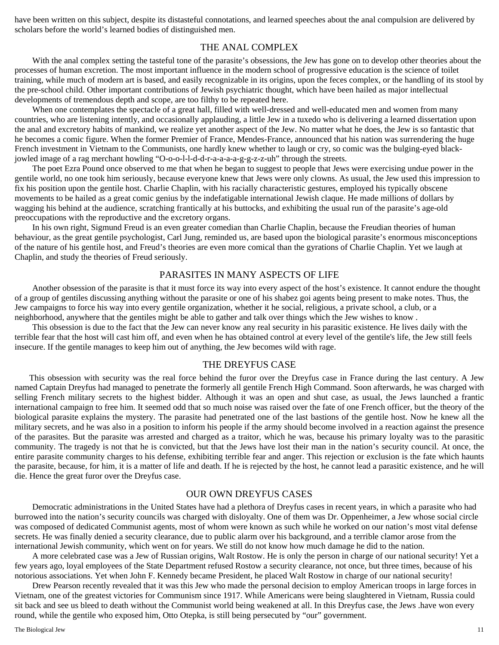have been written on this subject, despite its distasteful connotations, and learned speeches about the anal compulsion are delivered by scholars before the world's learned bodies of distinguished men.

## THE ANAL COMPLEX

With the anal complex setting the tasteful tone of the parasite's obsessions, the Jew has gone on to develop other theories about the processes of human excretion. The most important influence in the modern school of progressive education is the science of toilet training, while much of modern art is based, and easily recognizable in its origins, upon the feces complex, or the handling of its stool by the pre-school child. Other important contributions of Jewish psychiatric thought, which have been hailed as major intellectual developments of tremendous depth and scope, are too filthy to be repeated here.

When one contemplates the spectacle of a great hall, filled with well-dressed and well-educated men and women from many countries, who are listening intently, and occasionally applauding, a little Jew in a tuxedo who is delivering a learned dissertation upon the anal and excretory habits of mankind, we realize yet another aspect of the Jew. No matter what he does, the Jew is so fantastic that he becomes a comic figure. When the former Premier of France, Mendes-France, announced that his nation was surrendering the huge French investment in Vietnam to the Communists, one hardly knew whether to laugh or cry, so comic was the bulging-eyed blackjowled image of a rag merchant howling "O-o-o-l-l-d-d-r-a-a-a-a-g-g-z-z-uh" through the streets.

The poet Ezra Pound once observed to me that when he began to suggest to people that Jews were exercising undue power in the gentile world, no one took him seriously, because everyone knew that Jews were only clowns. As usual, the Jew used this impression to fix his position upon the gentile host. Charlie Chaplin, with his racially characteristic gestures, employed his typically obscene movements to be hailed as a great comic genius by the indefatigable international Jewish claque. He made millions of dollars by wagging his behind at the audience, scratching frantically at his buttocks, and exhibiting the usual run of the parasite's age-old preoccupations with the reproductive and the excretory organs.

In his own right, Sigmund Freud is an even greater comedian than Charlie Chaplin, because the Freudian theories of human behaviour, as the great gentile psychologist, Carl Jung, reminded us, are based upon the biological parasite's enormous misconceptions of the nature of his gentile host, and Freud's theories are even more comical than the gyrations of Charlie Chaplin. Yet we laugh at Chaplin, and study the theories of Freud seriously.

# PARASITES IN MANY ASPECTS OF LIFE

Another obsession of the parasite is that it must force its way into every aspect of the host's existence. It cannot endure the thought of a group of gentiles discussing anything without the parasite or one of his shabez goi agents being present to make notes. Thus, the Jew campaigns to force his way into every gentile organization, whether it he social, religious, a private school, a club, or a neighborhood, anywhere that the gentiles might be able to gather and talk over things which the Jew wishes to know .

This obsession is due to the fact that the Jew can never know any real security in his parasitic existence. He lives daily with the terrible fear that the host will cast him off, and even when he has obtained control at every level of the gentile's life, the Jew still feels insecure. If the gentile manages to keep him out of anything, the Jew becomes wild with rage.

# THE DREYFUS CASE

This obsession with security was the real force behind the furor over the Dreyfus case in France during the last century. A Jew named Captain Dreyfus had managed to penetrate the formerly all gentile French High Command. Soon afterwards, he was charged with selling French military secrets to the highest bidder. Although it was an open and shut case, as usual, the Jews launched a frantic international campaign to free him. It seemed odd that so much noise was raised over the fate of one French officer, but the theory of the biological parasite explains the mystery. The parasite had penetrated one of the last bastions of the gentile host. Now he knew all the military secrets, and he was also in a position to inform his people if the army should become involved in a reaction against the presence of the parasites. But the parasite was arrested and charged as a traitor, which he was, because his primary loyalty was to the parasitic community. The tragedy is not that he is convicted, but that the Jews have lost their man in the nation's security council. At once, the entire parasite community charges to his defense, exhibiting terrible fear and anger. This rejection or exclusion is the fate which haunts the parasite, because, for him, it is a matter of life and death. If he is rejected by the host, he cannot lead a parasitic existence, and he will die. Hence the great furor over the Dreyfus case.

# OUR OWN DREYFUS CASES

Democratic administrations in the United States have had a plethora of Dreyfus cases in recent years, in which a parasite who had burrowed into the nation's security councils was charged with disloyalty. One of them was Dr. Oppenheimer, a Jew whose social circle was composed of dedicated Communist agents, most of whom were known as such while he worked on our nation's most vital defense secrets. He was finally denied a security clearance, due to public alarm over his background, and a terrible clamor arose from the international Jewish community, which went on for years. We still do not know how much damage he did to the nation.

A more celebrated case was a Jew of Russian origins, Walt Rostow. He is only the person in charge of our national security! Yet a few years ago, loyal employees of the State Department refused Rostow a security clearance, not once, but three times, because of his notorious associations. Yet when John F. Kennedy became President, he placed Walt Rostow in charge of our national security!

Drew Pearson recently revealed that it was this Jew who made the personal decision to employ American troops in large forces in Vietnam, one of the greatest victories for Communism since 1917. While Americans were being slaughtered in Vietnam, Russia could sit back and see us bleed to death without the Communist world being weakened at all. In this Dreyfus case, the Jews .have won every round, while the gentile who exposed him, Otto Otepka, is still being persecuted by "our" government.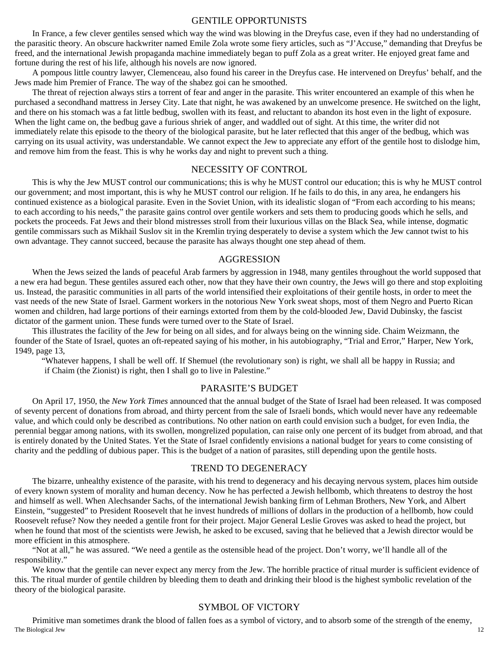#### GENTILE OPPORTUNISTS

In France, a few clever gentiles sensed which way the wind was blowing in the Dreyfus case, even if they had no understanding of the parasitic theory. An obscure hackwriter named Emile Zola wrote some fiery articles, such as "J'Accuse," demanding that Dreyfus be freed, and the international Jewish propaganda machine immediately began to puff Zola as a great writer. He enjoyed great fame and fortune during the rest of his life, although his novels are now ignored.

A pompous little country lawyer, Clemenceau, also found his career in the Dreyfus case. He intervened on Dreyfus' behalf, and the Jews made him Premier of France. The way of the shabez goi can he smoothed.

The threat of rejection always stirs a torrent of fear and anger in the parasite. This writer encountered an example of this when he purchased a secondhand mattress in Jersey City. Late that night, he was awakened by an unwelcome presence. He switched on the light, and there on his stomach was a fat little bedbug, swollen with its feast, and reluctant to abandon its host even in the light of exposure. When the light came on, the bedbug gave a furious shriek of anger, and waddled out of sight. At this time, the writer did not immediately relate this episode to the theory of the biological parasite, but he later reflected that this anger of the bedbug, which was carrying on its usual activity, was understandable. We cannot expect the Jew to appreciate any effort of the gentile host to dislodge him, and remove him from the feast. This is why he works day and night to prevent such a thing.

#### NECESSITY OF CONTROL

This is why the Jew MUST control our communications; this is why he MUST control our education; this is why he MUST control our government; and most important, this is why he MUST control our religion. If he fails to do this, in any area, he endangers his continued existence as a biological parasite. Even in the Soviet Union, with its idealistic slogan of "From each according to his means; to each according to his needs," the parasite gains control over gentile workers and sets them to producing goods which he sells, and pockets the proceeds. Fat Jews and their blond mistresses stroll from their luxurious villas on the Black Sea, while intense, dogmatic gentile commissars such as Mikhail Suslov sit in the Kremlin trying desperately to devise a system which the Jew cannot twist to his own advantage. They cannot succeed, because the parasite has always thought one step ahead of them.

#### AGGRESSION

When the Jews seized the lands of peaceful Arab farmers by aggression in 1948, many gentiles throughout the world supposed that a new era had begun. These gentiles assured each other, now that they have their own country, the Jews will go there and stop exploiting us. Instead, the parasitic communities in all parts of the world intensified their exploitations of their gentile hosts, in order to meet the vast needs of the new State of Israel. Garment workers in the notorious New York sweat shops, most of them Negro and Puerto Rican women and children, had large portions of their earnings extorted from them by the cold-blooded Jew, David Dubinsky, the fascist dictator of the garment union. These funds were turned over to the State of Israel.

This illustrates the facility of the Jew for being on all sides, and for always being on the winning side. Chaim Weizmann, the founder of the State of Israel, quotes an oft-repeated saying of his mother, in his autobiography, "Trial and Error," Harper, New York, 1949, page 13,

"Whatever happens, I shall be well off. If Shemuel (the revolutionary son) is right, we shall all be happy in Russia; and if Chaim (the Zionist) is right, then I shall go to live in Palestine."

## PARASITE'S BUDGET

On April 17, 1950, the *New York Times* announced that the annual budget of the State of Israel had been released. It was composed of seventy percent of donations from abroad, and thirty percent from the sale of Israeli bonds, which would never have any redeemable value, and which could only be described as contributions. No other nation on earth could envision such a budget, for even India, the perennial beggar among nations, with its swollen, mongrelized population, can raise only one percent of its budget from abroad, and that is entirely donated by the United States. Yet the State of Israel confidently envisions a national budget for years to come consisting of charity and the peddling of dubious paper. This is the budget of a nation of parasites, still depending upon the gentile hosts.

#### TREND TO DEGENERACY

The bizarre, unhealthy existence of the parasite, with his trend to degeneracy and his decaying nervous system, places him outside of every known system of morality and human decency. Now he has perfected a Jewish hellbomb, which threatens to destroy the host and himself as well. When Alechsander Sachs, of the international Jewish banking firm of Lehman Brothers, New York, and Albert Einstein, "suggested" to President Roosevelt that he invest hundreds of millions of dollars in the production of a hellbomb, how could Roosevelt refuse? Now they needed a gentile front for their project. Major General Leslie Groves was asked to head the project, but when he found that most of the scientists were Jewish, he asked to be excused, saving that he believed that a Jewish director would be more efficient in this atmosphere.

"Not at all," he was assured. "We need a gentile as the ostensible head of the project. Don't worry, we'll handle all of the responsibility."

We know that the gentile can never expect any mercy from the Jew. The horrible practice of ritual murder is sufficient evidence of this. The ritual murder of gentile children by bleeding them to death and drinking their blood is the highest symbolic revelation of the theory of the biological parasite.

## SYMBOL OF VICTORY

The Biological Jew 12 Primitive man sometimes drank the blood of fallen foes as a symbol of victory, and to absorb some of the strength of the enemy,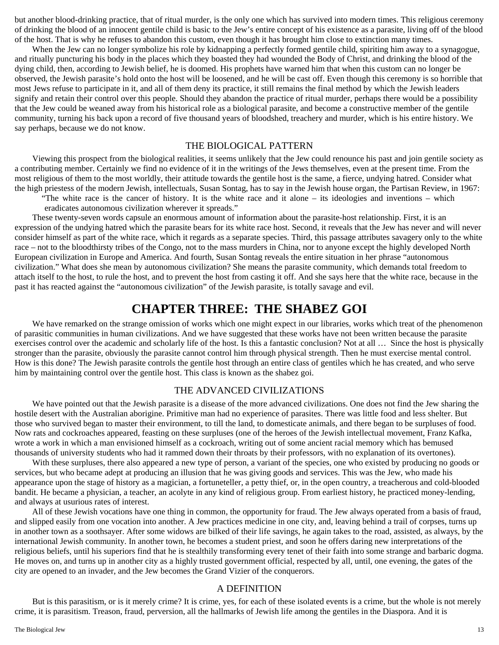but another blood-drinking practice, that of ritual murder, is the only one which has survived into modern times. This religious ceremony of drinking the blood of an innocent gentile child is basic to the Jew's entire concept of his existence as a parasite, living off of the blood of the host. That is why he refuses to abandon this custom, even though it has brought him close to extinction many times.

When the Jew can no longer symbolize his role by kidnapping a perfectly formed gentile child, spiriting him away to a synagogue, and ritually puncturing his body in the places which they boasted they had wounded the Body of Christ, and drinking the blood of the dying child, then, according to Jewish belief, he is doomed. His prophets have warned him that when this custom can no longer be observed, the Jewish parasite's hold onto the host will be loosened, and he will be cast off. Even though this ceremony is so horrible that most Jews refuse to participate in it, and all of them deny its practice, it still remains the final method by which the Jewish leaders signify and retain their control over this people. Should they abandon the practice of ritual murder, perhaps there would be a possibility that the Jew could be weaned away from his historical role as a biological parasite, and become a constructive member of the gentile community, turning his back upon a record of five thousand years of bloodshed, treachery and murder, which is his entire history. We say perhaps, because we do not know.

## THE BIOLOGICAL PATTERN

Viewing this prospect from the biological realities, it seems unlikely that the Jew could renounce his past and join gentile society as a contributing member. Certainly we find no evidence of it in the writings of the Jews themselves, even at the present time. From the most religious of them to the most worldly, their attitude towards the gentile host is the same, a fierce, undying hatred. Consider what the high priestess of the modern Jewish, intellectuals, Susan Sontag, has to say in the Jewish house organ, the Partisan Review, in 1967:

"The white race is the cancer of history. It is the white race and it alone – its ideologies and inventions – which

eradicates autonomous civilization wherever it spreads."

These twenty-seven words capsule an enormous amount of information about the parasite-host relationship. First, it is an expression of the undying hatred which the parasite bears for its white race host. Second, it reveals that the Jew has never and will never consider himself as part of the white race, which it regards as a separate species. Third, this passage attributes savagery only to the white race – not to the bloodthirsty tribes of the Congo, not to the mass murders in China, nor to anyone except the highly developed North European civilization in Europe and America. And fourth, Susan Sontag reveals the entire situation in her phrase "autonomous civilization." What does she mean by autonomous civilization? She means the parasite community, which demands total freedom to attach itself to the host, to rule the host, and to prevent the host from casting it off. And she says here that the white race, because in the past it has reacted against the "autonomous civilization" of the Jewish parasite, is totally savage and evil.

# **CHAPTER THREE: THE SHABEZ GOI**

We have remarked on the strange omission of works which one might expect in our libraries, works which treat of the phenomenon of parasitic communities in human civilizations. And we have suggested that these works have not been written because the parasite exercises control over the academic and scholarly life of the host. Is this a fantastic conclusion? Not at all … Since the host is physically stronger than the parasite, obviously the parasite cannot control him through physical strength. Then he must exercise mental control. How is this done? The Jewish parasite controls the gentile host through an entire class of gentiles which he has created, and who serve him by maintaining control over the gentile host. This class is known as the shabez goi.

# THE ADVANCED CIVILIZATIONS

We have pointed out that the Jewish parasite is a disease of the more advanced civilizations. One does not find the Jew sharing the hostile desert with the Australian aborigine. Primitive man had no experience of parasites. There was little food and less shelter. But those who survived began to master their environment, to till the land, to domesticate animals, and there began to be surpluses of food. Now rats and cockroaches appeared, feasting on these surpluses (one of the heroes of the Jewish intellectual movement, Franz Kafka, wrote a work in which a man envisioned himself as a cockroach, writing out of some ancient racial memory which has bemused thousands of university students who had it rammed down their throats by their professors, with no explanation of its overtones).

With these surpluses, there also appeared a new type of person, a variant of the species, one who existed by producing no goods or services, but who became adept at producing an illusion that he was giving goods and services. This was the Jew, who made his appearance upon the stage of history as a magician, a fortuneteller, a petty thief, or, in the open country, a treacherous and cold-blooded bandit. He became a physician, a teacher, an acolyte in any kind of religious group. From earliest history, he practiced money-lending, and always at usurious rates of interest.

All of these Jewish vocations have one thing in common, the opportunity for fraud. The Jew always operated from a basis of fraud, and slipped easily from one vocation into another. A Jew practices medicine in one city, and, leaving behind a trail of corpses, turns up in another town as a soothsayer. After some widows are bilked of their life savings, he again takes to the road, assisted, as always, by the international Jewish community. In another town, he becomes a student priest, and soon he offers daring new interpretations of the religious beliefs, until his superiors find that he is stealthily transforming every tenet of their faith into some strange and barbaric dogma. He moves on, and turns up in another city as a highly trusted government official, respected by all, until, one evening, the gates of the city are opened to an invader, and the Jew becomes the Grand Vizier of the conquerors.

# A DEFINITION

But is this parasitism, or is it merely crime? It is crime, yes, for each of these isolated events is a crime, but the whole is not merely crime, it is parasitism. Treason, fraud, perversion, all the hallmarks of Jewish life among the gentiles in the Diaspora. And it is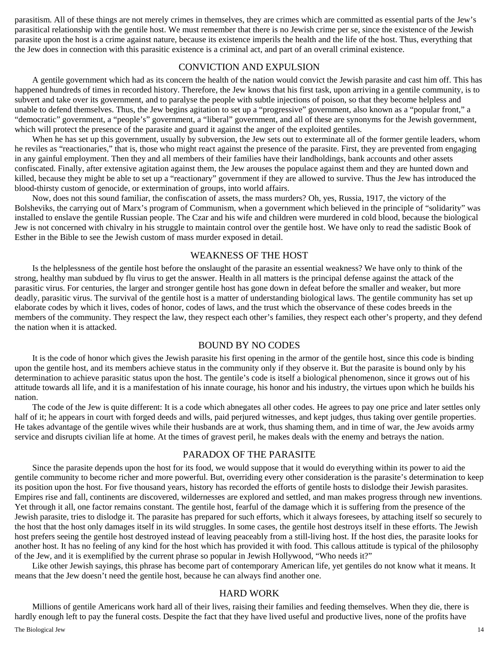parasitism. All of these things are not merely crimes in themselves, they are crimes which are committed as essential parts of the Jew's parasitical relationship with the gentile host. We must remember that there is no Jewish crime per se, since the existence of the Jewish parasite upon the host is a crime against nature, because its existence imperils the health and the life of the host. Thus, everything that the Jew does in connection with this parasitic existence is a criminal act, and part of an overall criminal existence.

# CONVICTION AND EXPULSION

A gentile government which had as its concern the health of the nation would convict the Jewish parasite and cast him off. This has happened hundreds of times in recorded history. Therefore, the Jew knows that his first task, upon arriving in a gentile community, is to subvert and take over its government, and to paralyse the people with subtle injections of poison, so that they become helpless and unable to defend themselves. Thus, the Jew begins agitation to set up a "progressive" government, also known as a "popular front," a "democratic" government, a "people's" government, a "liberal" government, and all of these are synonyms for the Jewish government, which will protect the presence of the parasite and guard it against the anger of the exploited gentiles.

When he has set up this government, usually by subversion, the Jew sets out to exterminate all of the former gentile leaders, whom he reviles as "reactionaries," that is, those who might react against the presence of the parasite. First, they are prevented from engaging in any gainful employment. Then they and all members of their families have their landholdings, bank accounts and other assets confiscated. Finally, after extensive agitation against them, the Jew arouses the populace against them and they are hunted down and killed, because they might be able to set up a "reactionary" government if they are allowed to survive. Thus the Jew has introduced the blood-thirsty custom of genocide, or extermination of groups, into world affairs.

Now, does not this sound familiar, the confiscation of assets, the mass murders? Oh, yes, Russia, 1917, the victory of the Bolsheviks, the carrying out of Marx's program of Communism, when a government which believed in the principle of "solidarity" was installed to enslave the gentile Russian people. The Czar and his wife and children were murdered in cold blood, because the biological Jew is not concerned with chivalry in his struggle to maintain control over the gentile host. We have only to read the sadistic Book of Esther in the Bible to see the Jewish custom of mass murder exposed in detail.

# WEAKNESS OF THE HOST

Is the helplessness of the gentile host before the onslaught of the parasite an essential weakness? We have only to think of the strong, healthy man subdued by flu virus to get the answer. Health in all matters is the principal defense against the attack of the parasitic virus. For centuries, the larger and stronger gentile host has gone down in defeat before the smaller and weaker, but more deadly, parasitic virus. The survival of the gentile host is a matter of understanding biological laws. The gentile community has set up elaborate codes by which it lives, codes of honor, codes of laws, and the trust which the observance of these codes breeds in the members of the community. They respect the law, they respect each other's families, they respect each other's property, and they defend the nation when it is attacked.

# BOUND BY NO CODES

It is the code of honor which gives the Jewish parasite his first opening in the armor of the gentile host, since this code is binding upon the gentile host, and its members achieve status in the community only if they observe it. But the parasite is bound only by his determination to achieve parasitic status upon the host. The gentile's code is itself a biological phenomenon, since it grows out of his attitude towards all life, and it is a manifestation of his innate courage, his honor and his industry, the virtues upon which he builds his nation.

The code of the Jew is quite different: It is a code which abnegates all other codes. He agrees to pay one price and later settles only half of it; he appears in court with forged deeds and wills, paid perjured witnesses, and kept judges, thus taking over gentile properties. He takes advantage of the gentile wives while their husbands are at work, thus shaming them, and in time of war, the Jew avoids army service and disrupts civilian life at home. At the times of gravest peril, he makes deals with the enemy and betrays the nation.

## PARADOX OF THE PARASITE

Since the parasite depends upon the host for its food, we would suppose that it would do everything within its power to aid the gentile community to become richer and more powerful. But, overriding every other consideration is the parasite's determination to keep its position upon the host. For five thousand years, history has recorded the efforts of gentile hosts to dislodge their Jewish parasites. Empires rise and fall, continents are discovered, wildernesses are explored and settled, and man makes progress through new inventions. Yet through it all, one factor remains constant. The gentile host, fearful of the damage which it is suffering from the presence of the Jewish parasite, tries to dislodge it. The parasite has prepared for such efforts, which it always foresees, by attaching itself so securely to the host that the host only damages itself in its wild struggles. In some cases, the gentile host destroys itself in these efforts. The Jewish host prefers seeing the gentile host destroyed instead of leaving peaceably from a still-living host. If the host dies, the parasite looks for another host. It has no feeling of any kind for the host which has provided it with food. This callous attitude is typical of the philosophy of the Jew, and it is exemplified by the current phrase so popular in Jewish Hollywood, "Who needs it?"

Like other Jewish sayings, this phrase has become part of contemporary American life, yet gentiles do not know what it means. It means that the Jew doesn't need the gentile host, because he can always find another one.

#### HARD WORK

The Biological Jew 14 Millions of gentile Americans work hard all of their lives, raising their families and feeding themselves. When they die, there is hardly enough left to pay the funeral costs. Despite the fact that they have lived useful and productive lives, none of the profits have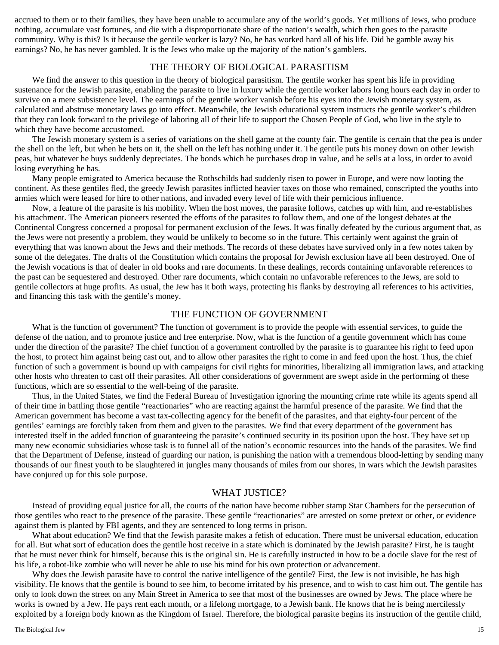accrued to them or to their families, they have been unable to accumulate any of the world's goods. Yet millions of Jews, who produce nothing, accumulate vast fortunes, and die with a disproportionate share of the nation's wealth, which then goes to the parasite community. Why is this? Is it because the gentile worker is lazy? No, he has worked hard all of his life. Did he gamble away his earnings? No, he has never gambled. It is the Jews who make up the majority of the nation's gamblers.

# THE THEORY OF BIOLOGICAL PARASITISM

We find the answer to this question in the theory of biological parasitism. The gentile worker has spent his life in providing sustenance for the Jewish parasite, enabling the parasite to live in luxury while the gentile worker labors long hours each day in order to survive on a mere subsistence level. The earnings of the gentile worker vanish before his eyes into the Jewish monetary system, as calculated and abstruse monetary laws go into effect. Meanwhile, the Jewish educational system instructs the gentile worker's children that they can look forward to the privilege of laboring all of their life to support the Chosen People of God, who live in the style to which they have become accustomed.

The Jewish monetary system is a series of variations on the shell game at the county fair. The gentile is certain that the pea is under the shell on the left, but when he bets on it, the shell on the left has nothing under it. The gentile puts his money down on other Jewish peas, but whatever he buys suddenly depreciates. The bonds which he purchases drop in value, and he sells at a loss, in order to avoid losing everything he has.

Many people emigrated to America because the Rothschilds had suddenly risen to power in Europe, and were now looting the continent. As these gentiles fled, the greedy Jewish parasites inflicted heavier taxes on those who remained, conscripted the youths into armies which were leased for hire to other nations, and invaded every level of life with their pernicious influence.

Now, a feature of the parasite is his mobility. When the host moves, the parasite follows, catches up with him, and re-establishes his attachment. The American pioneers resented the efforts of the parasites to follow them, and one of the longest debates at the Continental Congress concerned a proposal for permanent exclusion of the Jews. It was finally defeated by the curious argument that, as the Jews were not presently a problem, they would be unlikely to become so in the future. This certainly went against the grain of everything that was known about the Jews and their methods. The records of these debates have survived only in a few notes taken by some of the delegates. The drafts of the Constitution which contains the proposal for Jewish exclusion have all been destroyed. One of the Jewish vocations is that of dealer in old books and rare documents. In these dealings, records containing unfavorable references to the past can be sequestered and destroyed. Other rare documents, which contain no unfavorable references to the Jews, are sold to gentile collectors at huge profits. As usual, the Jew has it both ways, protecting his flanks by destroying all references to his activities, and financing this task with the gentile's money.

## THE FUNCTION OF GOVERNMENT

What is the function of government? The function of government is to provide the people with essential services, to guide the defense of the nation, and to promote justice and free enterprise. Now, what is the function of a gentile government which has come under the direction of the parasite? The chief function of a government controlled by the parasite is to guarantee his right to feed upon the host, to protect him against being cast out, and to allow other parasites the right to come in and feed upon the host. Thus, the chief function of such a government is bound up with campaigns for civil rights for minorities, liberalizing all immigration laws, and attacking other hosts who threaten to cast off their parasites. All other considerations of government are swept aside in the performing of these functions, which are so essential to the well-being of the parasite.

Thus, in the United States, we find the Federal Bureau of Investigation ignoring the mounting crime rate while its agents spend all of their time in battling those gentile "reactionaries" who are reacting against the harmful presence of the parasite. We find that the American government has become a vast tax-collecting agency for the benefit of the parasites, and that eighty-four percent of the gentiles' earnings are forcibly taken from them and given to the parasites. We find that every department of the government has interested itself in the added function of guaranteeing the parasite's continued security in its position upon the host. They have set up many new economic subsidiaries whose task is to funnel all of the nation's economic resources into the hands of the parasites. We find that the Department of Defense, instead of guarding our nation, is punishing the nation with a tremendous blood-letting by sending many thousands of our finest youth to be slaughtered in jungles many thousands of miles from our shores, in wars which the Jewish parasites have conjured up for this sole purpose.

#### WHAT JUSTICE?

Instead of providing equal justice for all, the courts of the nation have become rubber stamp Star Chambers for the persecution of those gentiles who react to the presence of the parasite. These gentile "reactionaries" are arrested on some pretext or other, or evidence against them is planted by FBI agents, and they are sentenced to long terms in prison.

What about education? We find that the Jewish parasite makes a fetish of education. There must be universal education, education for all. But what sort of education does the gentile host receive in a state which is dominated by the Jewish parasite? First, he is taught that he must never think for himself, because this is the original sin. He is carefully instructed in how to be a docile slave for the rest of his life, a robot-like zombie who will never be able to use his mind for his own protection or advancement.

Why does the Jewish parasite have to control the native intelligence of the gentile? First, the Jew is not invisible, he has high visibility. He knows that the gentile is bound to see him, to become irritated by his presence, and to wish to cast him out. The gentile has only to look down the street on any Main Street in America to see that most of the businesses are owned by Jews. The place where he works is owned by a Jew. He pays rent each month, or a lifelong mortgage, to a Jewish bank. He knows that he is being mercilessly exploited by a foreign body known as the Kingdom of Israel. Therefore, the biological parasite begins its instruction of the gentile child,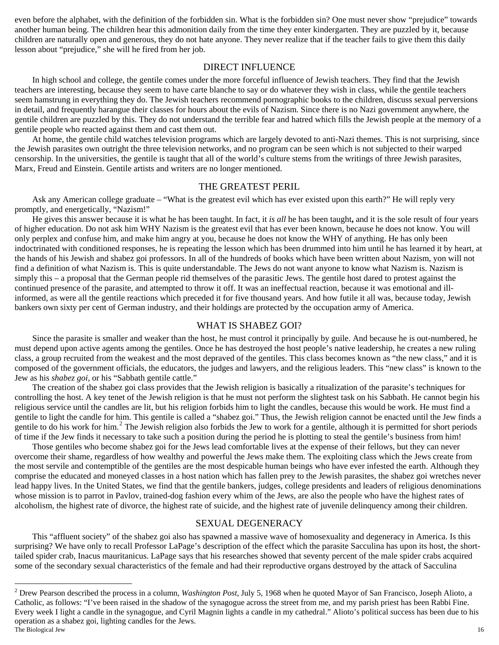even before the alphabet, with the definition of the forbidden sin. What is the forbidden sin? One must never show "prejudice" towards another human being. The children hear this admonition daily from the time they enter kindergarten. They are puzzled by it, because children are naturally open and generous, they do not hate anyone. They never realize that if the teacher fails to give them this daily lesson about "prejudice," she will he fired from her job.

# DIRECT INFLUENCE

In high school and college, the gentile comes under the more forceful influence of Jewish teachers. They find that the Jewish teachers are interesting, because they seem to have carte blanche to say or do whatever they wish in class, while the gentile teachers seem hamstrung in everything they do. The Jewish teachers recommend pornographic books to the children, discuss sexual perversions in detail, and frequently harangue their classes for hours about the evils of Nazism. Since there is no Nazi government anywhere, the gentile children are puzzled by this. They do not understand the terrible fear and hatred which fills the Jewish people at the memory of a gentile people who reacted against them and cast them out.

At home, the gentile child watches television programs which are largely devoted to anti-Nazi themes. This is not surprising, since the Jewish parasites own outright the three television networks, and no program can be seen which is not subjected to their warped censorship. In the universities, the gentile is taught that all of the world's culture stems from the writings of three Jewish parasites, Marx, Freud and Einstein. Gentile artists and writers are no longer mentioned.

#### THE GREATEST PERIL

Ask any American college graduate – "What is the greatest evil which has ever existed upon this earth?" He will reply very promptly, and energetically, "Nazism!"

He gives this answer because it is what he has been taught. In fact, it *is all* he has been taught**,** and it is the sole result of four years of higher education. Do not ask him WHY Nazism is the greatest evil that has ever been known, because he does not know. You will only perplex and confuse him, and make him angry at you, because he does not know the WHY of anything. He has only been indoctrinated with conditioned responses, he is repeating the lesson which has been drummed into him until he has learned it by heart, at the hands of his Jewish and shabez goi professors. In all of the hundreds of books which have been written about Nazism, yon will not find a definition of what Nazism is. This is quite understandable. The Jews do not want anyone to know what Nazism is. Nazism is simply this – a proposal that the German people rid themselves of the parasitic Jews. The gentile host dared to protest against the continued presence of the parasite, and attempted to throw it off. It was an ineffectual reaction, because it was emotional and illinformed, as were all the gentile reactions which preceded it for five thousand years. And how futile it all was, because today, Jewish bankers own sixty per cent of German industry, and their holdings are protected by the occupation army of America.

## WHAT IS SHABEZ GOI?

Since the parasite is smaller and weaker than the host, he must control it principally by guile. And because he is out-numbered, he must depend upon active agents among the gentiles. Once he has destroyed the host people's native leadership, he creates a new ruling class, a group recruited from the weakest and the most depraved of the gentiles. This class becomes known as "the new class," and it is composed of the government officials, the educators, the judges and lawyers, and the religious leaders. This "new class" is known to the Jew as his *shabez goi,* or his "Sabbath gentile cattle."

The creation of the shabez goi class provides that the Jewish religion is basically a ritualization of the parasite's techniques for controlling the host. A key tenet of the Jewish religion is that he must not perform the slightest task on his Sabbath. He cannot begin his religious service until the candles are lit, but his religion forbids him to light the candles, because this would be work. He must find a gentile to light the candle for him. This gentile is called a "shabez goi." Thus, the Jewish religion cannot be enacted until the Jew finds a gentile to do his work for him.<sup>[2](#page-15-0)</sup> The Jewish religion also forbids the Jew to work for a gentile, although it is permitted for short periods of time if the Jew finds it necessary to take such a position during the period he is plotting to steal the gentile's business from him!

Those gentiles who become shabez goi for the Jews lead comfortable lives at the expense of their fellows, but they can never overcome their shame, regardless of how wealthy and powerful the Jews make them. The exploiting class which the Jews create from the most servile and contemptible of the gentiles are the most despicable human beings who have ever infested the earth. Although they comprise the educated and moneyed classes in a host nation which has fallen prey to the Jewish parasites, the shabez goi wretches never lead happy lives. In the United States, we find that the gentile bankers, judges, college presidents and leaders of religious denominations whose mission is to parrot in Pavlov, trained-dog fashion every whim of the Jews, are also the people who have the highest rates of alcoholism, the highest rate of divorce, the highest rate of suicide, and the highest rate of juvenile delinquency among their children.

# SEXUAL DEGENERACY

This "affluent society" of the shabez goi also has spawned a massive wave of homosexuality and degeneracy in America. Is this surprising? We have only to recall Professor LaPage's description of the effect which the parasite Sacculina has upon its host, the shorttailed spider crab, Inacus mauritanicus. LaPage says that his researches showed that seventy percent of the male spider crabs acquired some of the secondary sexual characteristics of the female and had their reproductive organs destroyed by the attack of Sacculina

 $\overline{a}$ 

<span id="page-15-0"></span>The Biological Jew 16 2 Drew Pearson described the process in a column, *Washington Post*, July 5, 1968 when he quoted Mayor of San Francisco, Joseph Alioto, a Catholic, as follows: "I've been raised in the shadow of the synagogue across the street from me, and my parish priest has been Rabbi Fine. Every week I light a candle in the synagogue, and Cyril Magnin lights a candle in my cathedral." Alioto's political success has been due to his operation as a shabez goi, lighting candles for the Jews.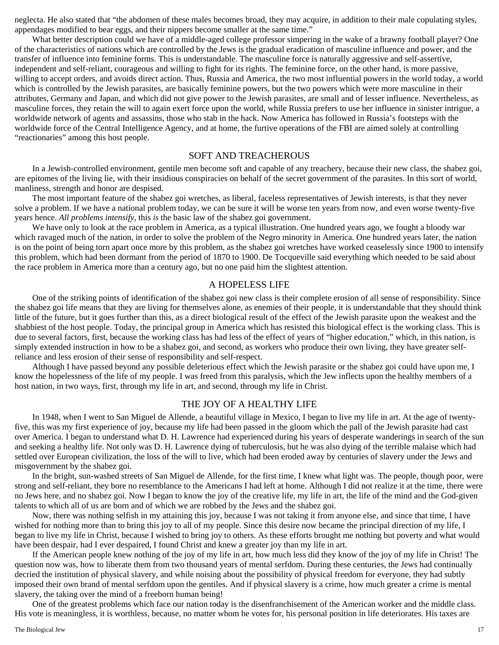neglecta. He also stated that "the abdomen of these males becomes broad, they may acquire, in addition to their male copulating styles, appendages modified to bear eggs, and their nippers become smaller at the same time."

What better description could we have of a middle-aged college professor simpering in the wake of a brawny football player? One of the characteristics of nations which are controlled by the Jews is the gradual eradication of masculine influence and power, and the transfer of influence into feminine forms. This is understandable. The masculine force is naturally aggressive and self-assertive, independent and self-reliant, courageous and willing to fight for its rights. The feminine force, on the other hand, is more passive, willing to accept orders, and avoids direct action. Thus, Russia and America, the two most influential powers in the world today, a world which is controlled by the Jewish parasites, are basically feminine powers, but the two powers which were more masculine in their attributes, Germany and Japan, and which did not give power to the Jewish parasites, are small and of lesser influence. Nevertheless, as masculine forces, they retain the will to again exert force upon the world, while Russia prefers to use her influence in sinister intrigue, a worldwide network of agents and assassins, those who stab in the hack. Now America has followed in Russia's footsteps with the worldwide force of the Central Intelligence Agency, and at home, the furtive operations of the FBI are aimed solely at controlling "reactionaries" among this host people.

#### SOFT AND TREACHEROUS

In a Jewish-controlled environment, gentile men become soft and capable of any treachery, because their new class, the shabez goi, are epitomes of the living lie, with their insidious conspiracies on behalf of the secret government of the parasites. In this sort of world, manliness, strength and honor are despised.

The most important feature of the shabez goi wretches, as liberal, faceless representatives of Jewish interests, is that they never solve a problem. If we have a national problem today, we can be sure it will be worse ten years from now, and even worse twenty-five years hence. *All problems intensify,* this *is* the basic law of the shabez goi government.

We have only to look at the race problem in America, as a typical illustration. One hundred years ago, we fought a bloody war which ravaged much of the nation, in order to solve the problem of the Negro minority in America. One hundred years later, the nation is on the point of being torn apart once more by this problem, as the shabez goi wretches have worked ceaselessly since 1900 to intensify this problem, which had been dormant from the period of 1870 to 1900. De Tocqueville said everything which needed to be said about the race problem in America more than a century ago, but no one paid him the slightest attention.

# A HOPELESS LIFE

One of the striking points of identification of the shabez goi new class is their complete erosion of all sense of responsibility. Since the shabez goi life means that they are living for themselves alone, as enemies of their people, it is understandable that they should think little of the future, but it goes further than this, as a direct biological result of the effect of the Jewish parasite upon the weakest and the shabbiest of the host people. Today, the principal group in America which has resisted this biological effect is the working class. This is due to several factors, first, because the working class has had less of the effect of years of "higher education," which, in this nation, is simply extended instruction in how to be a shabez goi, and second, as workers who produce their own living, they have greater selfreliance and less erosion of their sense of responsibility and self-respect.

Although I have passed beyond any possible deleterious effect which the Jewish parasite or the shabez goi could have upon me, I know the hopelessness of the life of my people. I was freed from this paralysis, which the Jew inflects upon the healthy members of a host nation, in two ways, first, through my life in art, and second, through my life in Christ.

# THE JOY OF A HEALTHY LIFE

In 1948, when I went to San Miguel de Allende, a beautiful village in Mexico, I began to live my life in art. At the age of twentyfive, this was my first experience of joy, because my life had been passed in the gloom which the pall of the Jewish parasite had cast over America. I began to understand what D. H. Lawrence had experienced during his years of desperate wanderings in search of the sun and seeking a healthy life. Not only was D. H. Lawrence dying of tuberculosis, but he was also dying of the terrible malaise which had settled over European civilization, the loss of the will to live, which had been eroded away by centuries of slavery under the Jews and misgovernment by the shabez goi.

In the bright, sun-washed streets of San Miguel de Allende, for the first time, I knew what light was. The people, though poor, were strong and self-reliant, they bore no resemblance to the Americans I had left at home. Although I did not realize it at the time, there were no Jews here, and no shabez goi. Now I began to know the joy of the creative life, my life in art, the life of the mind and the God-given talents to which all of us are born and of which we are robbed by the Jews and the shabez goi.

Now, there was nothing selfish in my attaining this joy, because I was not taking it from anyone else, and since that time, I have wished for nothing more than to bring this joy to all of my people. Since this desire now became the principal direction of my life, I began to live my life in Christ, because I wished to bring joy to others. As these efforts brought me nothing but poverty and what would have been despair, had I ever despaired, I found Christ and knew a greater joy than my life in art.

If the American people knew nothing of the joy of my life in art, how much less did they know of the joy of my life in Christ! The question now was, how to liberate them from two thousand years of mental serfdom. During these centuries, the Jews had continually decried the institution of physical slavery, and while noising about the possibility of physical freedom for everyone, they had subtly imposed their own brand of mental serfdom upon the gentiles. And if physical slavery is a crime, how much greater a crime is mental slavery, the taking over the mind of a freeborn human being!

One of the greatest problems which face our nation today is the disenfranchisement of the American worker and the middle class. His vote is meaningless, it is worthless, because, no matter whom he votes for, his personal position in life deteriorates. His taxes are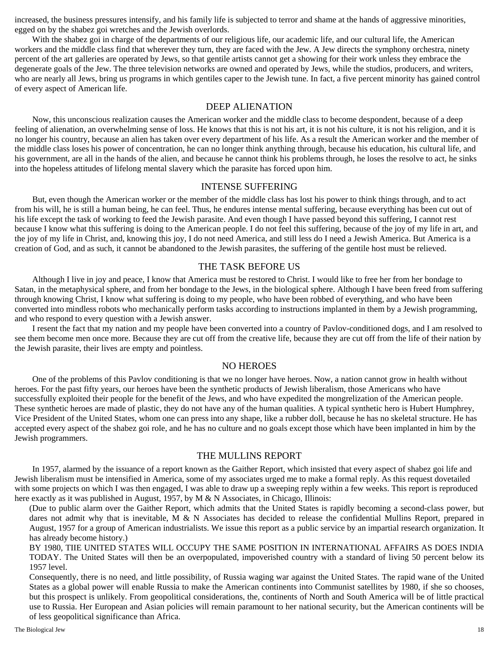increased, the business pressures intensify, and his family life is subjected to terror and shame at the hands of aggressive minorities, egged on by the shabez goi wretches and the Jewish overlords.

With the shabez goi in charge of the departments of our religious life, our academic life, and our cultural life, the American workers and the middle class find that wherever they turn, they are faced with the Jew. A Jew directs the symphony orchestra, ninety percent of the art galleries are operated by Jews, so that gentile artists cannot get a showing for their work unless they embrace the degenerate goals of the Jew. The three television networks are owned and operated by Jews, while the studios, producers, and writers, who are nearly all Jews, bring us programs in which gentiles caper to the Jewish tune. In fact, a five percent minority has gained control of every aspect of American life.

# DEEP ALIENATION

Now, this unconscious realization causes the American worker and the middle class to become despondent, because of a deep feeling of alienation, an overwhelming sense of loss. He knows that this is not his art, it is not his culture, it is not his religion, and it is no longer his country, because an alien has taken over every department of his life. As a result the American worker and the member of the middle class loses his power of concentration, he can no longer think anything through, because his education, his cultural life, and his government, are all in the hands of the alien, and because he cannot think his problems through, he loses the resolve to act, he sinks into the hopeless attitudes of lifelong mental slavery which the parasite has forced upon him.

#### INTENSE SUFFERING

But, even though the American worker or the member of the middle class has lost his power to think things through, and to act from his will, he is still a human being, he can feel. Thus, he endures intense mental suffering, because everything has been cut out of his life except the task of working to feed the Jewish parasite. And even though I have passed beyond this suffering, I cannot rest because I know what this suffering is doing to the American people. I do not feel this suffering, because of the joy of my life in art, and the joy of my life in Christ, and, knowing this joy, I do not need America, and still less do I need a Jewish America. But America is a creation of God, and as such, it cannot be abandoned to the Jewish parasites, the suffering of the gentile host must be relieved.

#### THE TASK BEFORE US

Although I live in joy and peace, I know that America must be restored to Christ. I would like to free her from her bondage to Satan, in the metaphysical sphere, and from her bondage to the Jews, in the biological sphere. Although I have been freed from suffering through knowing Christ, I know what suffering is doing to my people, who have been robbed of everything, and who have been converted into mindless robots who mechanically perform tasks according to instructions implanted in them by a Jewish programming, and who respond to every question with a Jewish answer.

I resent the fact that my nation and my people have been converted into a country of Pavlov-conditioned dogs, and I am resolved to see them become men once more. Because they are cut off from the creative life, because they are cut off from the life of their nation by the Jewish parasite, their lives are empty and pointless.

#### NO HEROES

One of the problems of this Pavlov conditioning is that we no longer have heroes. Now, a nation cannot grow in health without heroes. For the past fifty years, our heroes have been the synthetic products of Jewish liberalism, those Americans who have successfully exploited their people for the benefit of the Jews, and who have expedited the mongrelization of the American people. These synthetic heroes are made of plastic, they do not have any of the human qualities. A typical synthetic hero is Hubert Humphrey, Vice President of the United States, whom one can press into any shape, like a rubber doll, because he has no skeletal structure. He has accepted every aspect of the shabez goi role, and he has no culture and no goals except those which have been implanted in him by the Jewish programmers.

## THE MULLINS REPORT

In 1957, alarmed by the issuance of a report known as the Gaither Report, which insisted that every aspect of shabez goi life and Jewish liberalism must be intensified in America, some of my associates urged me to make a formal reply. As this request dovetailed with some projects on which I was then engaged, I was able to draw up a sweeping reply within a few weeks. This report is reproduced here exactly as it was published in August, 1957, by M & N Associates, in Chicago, Illinois:

(Due to public alarm over the Gaither Report, which admits that the United States is rapidly becoming a second-class power, but dares not admit why that is inevitable, M & N Associates has decided to release the confidential Mullins Report, prepared in August, 1957 for a group of American industrialists. We issue this report as a public service by an impartial research organization. It has already become history.)

BY 1980, TIIE UNITED STATES WILL OCCUPY THE SAME POSITION IN INTERNATIONAL AFFAIRS AS DOES INDIA TODAY. The United States will then be an overpopulated, impoverished country with a standard of living 50 percent below its 1957 level.

Consequently, there is no need, and little possibility, of Russia waging war against the United States. The rapid wane of the United States as a global power will enable Russia to make the American continents into Communist satellites by 1980, if she so chooses, but this prospect is unlikely. From geopolitical considerations, the, continents of North and South America will be of little practical use to Russia. Her European and Asian policies will remain paramount to her national security, but the American continents will be of less geopolitical significance than Africa.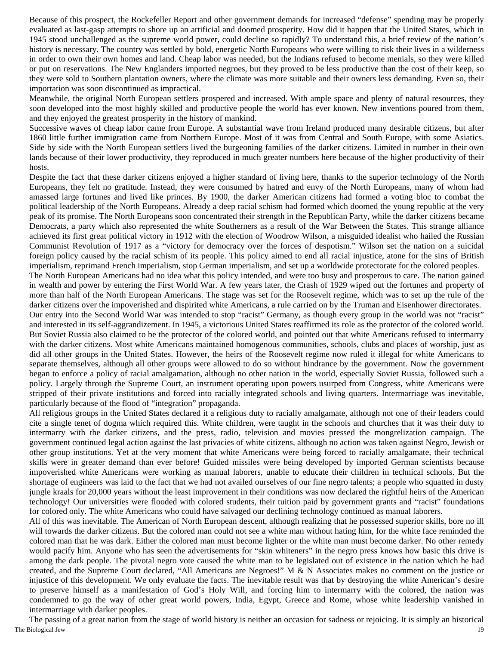Because of this prospect, the Rockefeller Report and other government demands for increased "defense" spending may be properly evaluated as last-gasp attempts to shore up an artificial and doomed prosperity. How did it happen that the United States, which in 1945 stood unchallenged as the supreme world power, could decline so rapidly? To understand this, a brief review of the nation's history is necessary. The country was settled by bold, energetic North Europeans who were willing to risk their lives in a wilderness in order to own their own homes and land. Cheap labor was needed, but the Indians refused to become menials, so they were killed or put on reservations. The New Englanders imported negroes, but they proved to be less productive than the cost of their keep, so they were sold to Southern plantation owners, where the climate was more suitable and their owners less demanding. Even so, their importation was soon discontinued as impractical.

Meanwhile, the original North European settlers prospered and increased. With ample space and plenty of natural resources, they soon developed into the most highly skilled and productive people the world has ever known. New inventions poured from them, and they enjoyed the greatest prosperity in the history of mankind.

Successive waves of cheap labor came from Europe. A substantial wave from Ireland produced many desirable citizens, but after 1860 little further immigration came from Northern Europe. Most of it was from Central and South Europe, with some Asiatics. Side by side with the North European settlers lived the burgeoning families of the darker citizens. Limited in number in their own lands because of their lower productivity, they reproduced in much greater numbers here because of the higher productivity of their hosts.

Despite the fact that these darker citizens enjoyed a higher standard of living here, thanks to the superior technology of the North Europeans, they felt no gratitude. Instead, they were consumed by hatred and envy of the North Europeans, many of whom had amassed large fortunes and lived like princes. By 1900, the darker American citizens had formed a voting bloc to combat the political leadership of the North Europeans. Already a deep racial schism had formed which doomed the young republic at the very peak of its promise. The North Europeans soon concentrated their strength in the Republican Party, while the darker citizens became Democrats, a party which also represented the white Southerners as a result of the War Between the States. This strange alliance achieved its first great political victory in 1912 with the election of Woodrow Wilson, a misguided idealist who hailed the Russian Communist Revolution of 1917 as a "victory for democracy over the forces of despotism." Wilson set the nation on a suicidal foreign policy caused by the racial schism of its people. This policy aimed to end all racial injustice, atone for the sins of British imperialism, reprimand French imperialism, stop German imperialism, and set up a worldwide protectorate for the colored peoples. The North European Americans had no idea what this policy intended, and were too busy and prosperous to care. The nation gained in wealth and power by entering the First World War. A few years later, the Crash of 1929 wiped out the fortunes and property of more than half of the North European Americans. The stage was set for the Roosevelt regime, which was to set up the rule of the darker citizens over the impoverished and dispirited white Americans, a rule carried on by the Truman and Eisenhower directorates. Our entry into the Second World War was intended to stop "racist" Germany, as though every group in the world was not "racist" and interested in its self-aggrandizement. In 1945, a victorious United States reaffirmed its role as the protector of the colored world. But Soviet Russia also claimed to be the protector of the colored world, and pointed out that white Americans refused to intermarry with the darker citizens. Most white Americans maintained homogenous communities, schools, clubs and places of worship, just as did all other groups in the United States. However, the heirs of the Roosevelt regime now ruled it illegal for white Americans to separate themselves, although all other groups were allowed to do so without hindrance by the government. Now the government began to enforce a policy of racial amalgamation, although no other nation in the world, especially Soviet Russia, followed such a policy. Largely through the Supreme Court, an instrument operating upon powers usurped from Congress, white Americans were stripped of their private institutions and forced into racially integrated schools and living quarters. Intermarriage was inevitable, particularly because of the flood of "integration" propaganda.

All religious groups in the United States declared it a religious duty to racially amalgamate, although not one of their leaders could cite a single tenet of dogma which required this. White children, were taught in the schools and churches that it was their duty to intermarry with the darker citizens, and the press, radio, television and movies pressed the mongrelization campaign. The government continued legal action against the last privacies of white citizens, although no action was taken against Negro, Jewish or other group institutions. Yet at the very moment that white Americans were being forced to racially amalgamate, their technical skills were in greater demand than ever before! Guided missiles were being developed by imported German scientists because impoverished white Americans were working as manual laborers, unable to educate their children in technical schools. But the shortage of engineers was laid to the fact that we had not availed ourselves of our fine negro talents; a people who squatted in dusty jungle kraals for 20,000 years without the least improvement in their conditions was now declared the rightful heirs of the American technology! Our universities were flooded with colored students, their tuition paid by government grants and "racist" foundations for colored only. The white Americans who could have salvaged our declining technology continued as manual laborers.

All of this was inevitable. The American of North European descent, although realizing that he possessed superior skills, bore no ill will towards the darker citizens. But the colored man could not see a white man without hating him, for the white face reminded the colored man that he was dark. Either the colored man must become lighter or the white man must become darker. No other remedy would pacify him. Anyone who has seen the advertisements for "skin whiteners" in the negro press knows how basic this drive is among the dark people. The pivotal negro vote caused the white man to be legislated out of existence in the nation which he had created, and the Supreme Court declared, "All Americans are Negroes!" M & N Associates makes no comment on the justice or injustice of this development. We only evaluate the facts. The inevitable result was that by destroying the white American's desire to preserve himself as a manifestation of God's Holy Will, and forcing him to intermarry with the colored, the nation was condemned to go the way of other great world powers, India, Egypt, Greece and Rome, whose white leadership vanished in intermarriage with darker peoples.

The Biological Jew 19 The passing of a great nation from the stage of world history is neither an occasion for sadness or rejoicing. It is simply an historical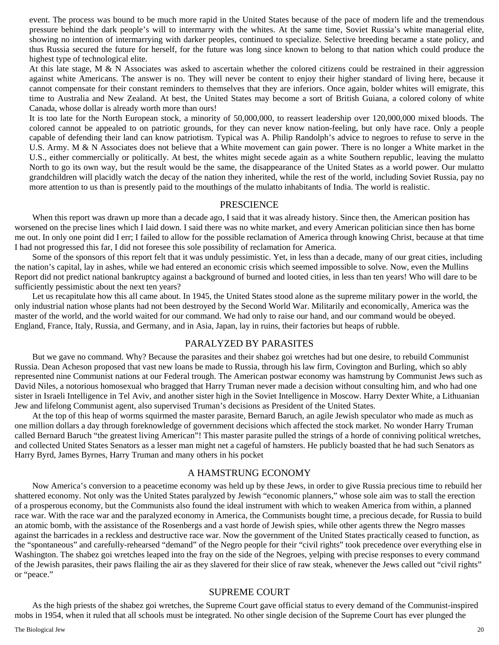event. The process was bound to be much more rapid in the United States because of the pace of modern life and the tremendous pressure behind the dark people's will to intermarry with the whites. At the same time, Soviet Russia's white managerial elite, showing no intention of intermarrying with darker peoples, continued to specialize. Selective breeding became a state policy, and thus Russia secured the future for herself, for the future was long since known to belong to that nation which could produce the highest type of technological elite.

At this late stage, M & N Associates was asked to ascertain whether the colored citizens could be restrained in their aggression against white Americans. The answer is no. They will never be content to enjoy their higher standard of living here, because it cannot compensate for their constant reminders to themselves that they are inferiors. Once again, bolder whites will emigrate, this time to Australia and New Zealand. At best, the United States may become a sort of British Guiana, a colored colony of white Canada, whose dollar is already worth more than ours!

It is too late for the North European stock, a minority of 50,000,000, to reassert leadership over 120,000,000 mixed bloods. The colored cannot be appealed to on patriotic grounds, for they can never know nation-feeling, but only have race. Only a people capable of defending their land can know patriotism. Typical was A. Philip Randolph's advice to negroes to refuse to serve in the U.S. Army. M & N Associates does not believe that a White movement can gain power. There is no longer a White market in the U.S., either commercially or politically. At best, the whites might secede again as a white Southern republic, leaving the mulatto North to go its own way, but the result would be the same, the disappearance of the United States as a world power. Our mulatto grandchildren will placidly watch the decay of the nation they inherited, while the rest of the world, including Soviet Russia, pay no more attention to us than is presently paid to the mouthings of the mulatto inhabitants of India. The world is realistic.

# **PRESCIENCE**

When this report was drawn up more than a decade ago, I said that it was already history. Since then, the American position has worsened on the precise lines which I laid down. I said there was no white market, and every American politician since then has borne me out. In only one point did I err; I failed to allow for the possible reclamation of America through knowing Christ, because at that time I had not progressed this far, I did not foresee this sole possibility of reclamation for America.

Some of the sponsors of this report felt that it was unduly pessimistic. Yet, in less than a decade, many of our great cities, including the nation's capital, lay in ashes, while we had entered an economic crisis which seemed impossible to solve. Now, even the Mullins Report did not predict national bankruptcy against a background of burned and looted cities, in less than ten years! Who will dare to be sufficiently pessimistic about the next ten years?

Let us recapitulate how this all came about. In 1945, the United States stood alone as the supreme military power in the world, the only industrial nation whose plants had not been destroyed by the Second World War. Militarily and economically, America was the master of the world, and the world waited for our command. We had only to raise our hand, and our command would be obeyed. England, France, Italy, Russia, and Germany, and in Asia, Japan, lay in ruins, their factories but heaps of rubble.

# PARALYZED BY PARASITES

But we gave no command. Why? Because the parasites and their shabez goi wretches had but one desire, to rebuild Communist Russia. Dean Acheson proposed that vast new loans be made to Russia, through his law firm, Covington and Burling, which so ably represented nine Communist nations at our Federal trough. The American postwar economy was hamstrung by Communist Jews such as David Niles, a notorious homosexual who bragged that Harry Truman never made a decision without consulting him, and who had one sister in Israeli Intelligence in Tel Aviv, and another sister high in the Soviet Intelligence in Moscow. Harry Dexter White, a Lithuanian Jew and lifelong Communist agent, also supervised Truman's decisions as President of the United States.

At the top of this heap of worms squirmed the master parasite, Bernard Baruch, an agile Jewish speculator who made as much as one million dollars a day through foreknowledge of government decisions which affected the stock market. No wonder Harry Truman called Bernard Baruch "the greatest living American"! This master parasite pulled the strings of a horde of conniving political wretches, and collected United States Senators as a lesser man might net a cageful of hamsters. He publicly boasted that he had such Senators as Harry Byrd, James Byrnes, Harry Truman and many others in his pocket

#### A HAMSTRUNG ECONOMY

Now America's conversion to a peacetime economy was held up by these Jews, in order to give Russia precious time to rebuild her shattered economy. Not only was the United States paralyzed by Jewish "economic planners," whose sole aim was to stall the erection of a prosperous economy, but the Communists also found the ideal instrument with which to weaken America from within, a planned race war. With the race war and the paralyzed economy in America, the Communists bought time, a precious decade, for Russia to build an atomic bomb, with the assistance of the Rosenbergs and a vast horde of Jewish spies, while other agents threw the Negro masses against the barricades in a reckless and destructive race war. Now the government of the United States practically ceased to function, as the "spontaneous" and carefully-rehearsed "demand" of the Negro people for their "civil rights" took precedence over everything else in Washington. The shabez goi wretches leaped into the fray on the side of the Negroes, yelping with precise responses to every command of the Jewish parasites, their paws flailing the air as they slavered for their slice of raw steak, whenever the Jews called out "civil rights" or "peace."

#### SUPREME COURT

As the high priests of the shabez goi wretches, the Supreme Court gave official status to every demand of the Communist-inspired mobs in 1954, when it ruled that all schools must be integrated. No other single decision of the Supreme Court has ever plunged the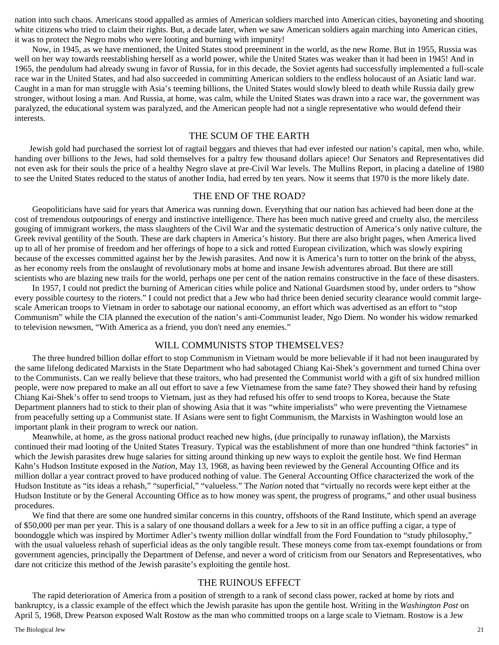nation into such chaos. Americans stood appalled as armies of American soldiers marched into American cities, bayoneting and shooting white citizens who tried to claim their rights. But, a decade later, when we saw American soldiers again marching into American cities, it was to protect the Negro mobs who were looting and burning with impunity!

Now, in 1945, as we have mentioned, the United States stood preeminent in the world, as the new Rome. But in 1955, Russia was well on her way towards reestablishing herself as a world power, while the United States was weaker than it had been in 1945! And in 1965, the pendulum had already swung in favor of Russia, for in this decade, the Soviet agents had successfully implemented a full-scale race war in the United States, and had also succeeded in committing American soldiers to the endless holocaust of an Asiatic land war. Caught in a man for man struggle with Asia's teeming billions, the United States would slowly bleed to death while Russia daily grew stronger, without losing a man. And Russia, at home, was calm, while the United States was drawn into a race war, the government was paralyzed, the educational system was paralyzed, and the American people had not a single representative who would defend their interests.

# THE SCUM OF THE EARTH

Jewish gold had purchased the sorriest lot of ragtail beggars and thieves that had ever infested our nation's capital, men who, while. handing over billions to the Jews, had sold themselves for a paltry few thousand dollars apiece! Our Senators and Representatives did not even ask for their souls the price of a healthy Negro slave at pre-Civil War levels. The Mullins Report, in placing a dateline of 1980 to see the United States reduced to the status of another India, had erred by ten years. Now it seems that 1970 is the more likely date.

# THE END OF THE ROAD?

Geopoliticians have said for years that America was running down. Everything that our nation has achieved had been done at the cost of tremendous outpourings of energy and instinctive intelligence. There has been much native greed and cruelty also, the merciless gouging of immigrant workers, the mass slaughters of the Civil War and the systematic destruction of America's only native culture, the Greek revival gentility of the South. These are dark chapters in America's history. But there are also bright pages, when America lived up to all of her promise of freedom and her offerings of hope to a sick and rotted European civilization, which was slowly expiring because of the excesses committed against her by the Jewish parasites. And now it is America's turn to totter on the brink of the abyss, as her economy reels from the onslaught of revolutionary mobs at home and insane Jewish adventures abroad. But there are still scientists who are blazing new trails for the world, perhaps one per cent of the nation remains constructive in the face of these disasters.

In 1957, I could not predict the burning of American cities while police and National Guardsmen stood by, under orders to "show every possible courtesy to the rioters." I could not predict that a Jew who had thrice been denied security clearance would commit largescale American troops to Vietnam in order to sabotage our national economy, an effort which was advertised as an effort to "stop Communism" while the CIA planned the execution of the nation's anti-Communist leader, Ngo Diem. No wonder his widow remarked to television newsmen, "With America as a friend, you don't need any enemies."

# WILL COMMUNISTS STOP THEMSELVES?

The three hundred billion dollar effort to stop Communism in Vietnam would be more believable if it had not been inaugurated by the same lifelong dedicated Marxists in the State Department who had sabotaged Chiang Kai-Shek's government and turned China over to the Communists. Can we really believe that these traitors, who had presented the Communist world with a gift of six hundred million people, were now prepared to make an all out effort to save a few Vietnamese from the same fate? They showed their hand by refusing Chiang Kai-Shek's offer to send troops to Vietnam, just as they had refused his offer to send troops to Korea, because the State Department planners had to stick to their plan of showing Asia that it was "white imperialists" who were preventing the Vietnamese from peacefully setting up a Communist state. If Asians were sent to fight Communism, the Marxists in Washington would lose an important plank in their program to wreck our nation.

Meanwhile, at home, as the gross national product reached new highs, (due principally to runaway inflation), the Marxists continued their mad looting of the United States Treasury. Typical was the establishment of more than one hundred "think factories" in which the Jewish parasites drew huge salaries for sitting around thinking up new ways to exploit the gentile host. We find Herman Kahn's Hudson Institute exposed in the *Nation*, May 13, 1968, as having been reviewed by the General Accounting Office and its million dollar a year contract proved to have produced nothing of value. The General Accounting Office characterized the work of the Hudson Institute as "its ideas a rehash," "superficial," "valueless." The *Nation* noted that "virtually no records were kept either at the Hudson Institute or by the General Accounting Office as to how money was spent, the progress of programs," and other usual business procedures.

We find that there are some one hundred similar concerns in this country, offshoots of the Rand Institute, which spend an average of \$50,000 per man per year. This is a salary of one thousand dollars a week for a Jew to sit in an office puffing a cigar, a type of boondoggle which was inspired by Mortimer Adler's twenty million dollar windfall from the Ford Foundation to "study philosophy," with the usual valueless rehash of superficial ideas as the only tangible result. These moneys come from tax-exempt foundations or from government agencies, principally the Department of Defense, and never a word of criticism from our Senators and Representatives, who dare not criticize this method of the Jewish parasite's exploiting the gentile host.

# THE RUINOUS EFFECT

The rapid deterioration of America from a position of strength to a rank of second class power, racked at home by riots and bankruptcy, is a classic example of the effect which the Jewish parasite has upon the gentile host. Writing in the *Washington Post* on April 5, 1968, Drew Pearson exposed Walt Rostow as the man who committed troops on a large scale to Vietnam. Rostow is a Jew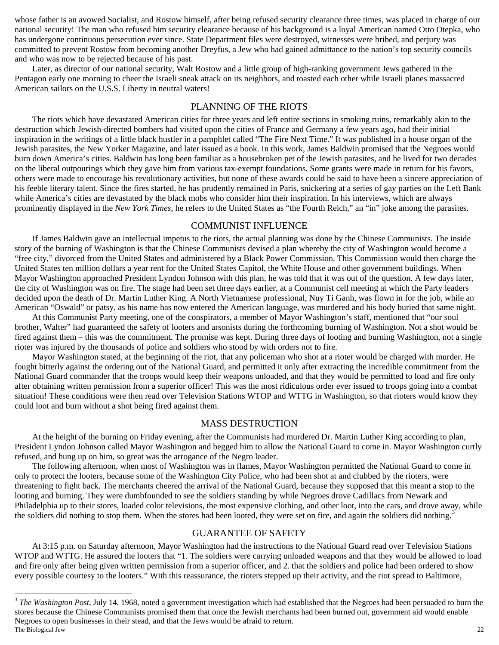whose father is an avowed Socialist, and Rostow himself, after being refused security clearance three times, was placed in charge of our national security! The man who refused him security clearance because of his background is a loyal American named Otto Otepka, who has undergone continuous persecution ever since. State Department files were destroyed, witnesses were bribed, and perjury was committed to prevent Rostow from becoming another Dreyfus, a Jew who had gained admittance to the nation's top security councils and who was now to be rejected because of his past.

Later, as director of our national security, Walt Rostow and a little group of high-ranking government Jews gathered in the Pentagon early one morning to cheer the Israeli sneak attack on its neighbors, and toasted each other while Israeli planes massacred American sailors on the U.S.S. Liberty in neutral waters!

# PLANNING OF THE RIOTS

The riots which have devastated American cities for three years and left entire sections in smoking ruins, remarkably akin to the destruction which Jewish-directed bombers had visited upon the cities of France and Germany a few years ago, had their initial inspiration in the writings of a little black hustler in a pamphlet called "The Fire Next Time." It was published in a house organ of the Jewish parasites, the New Yorker Magazine, and later issued as a book. In this work, James Baldwin promised that the Negroes would burn down America's cities. Baldwin has long been familiar as a housebroken pet of the Jewish parasites, and he lived for two decades on the liberal outpourings which they gave him from various tax-exempt foundations. Some grants were made in return for his favors, others were made to encourage his revolutionary activities, but none of these awards could be said to have been a sincere appreciation of his feeble literary talent. Since the fires started, he has prudently remained in Paris, snickering at a series of gay parties on the Left Bank while America's cities are devastated by the black mobs who consider him their inspiration. In his interviews, which are always prominently displayed in the *New York Times*, he refers to the United States as "the Fourth Reich," an "in" joke among the parasites.

# COMMUNIST INFLUENCE

If James Baldwin gave an intellectual impetus to the riots, the actual planning was done by the Chinese Communists. The inside story of the burning of Washington is that the Chinese Communists devised a plan whereby the city of Washington would become a "free city," divorced from the United States and administered by a Black Power Commission. This Commission would then charge the United States ten million dollars a year rent for the United States Capitol, the White House and other government buildings. When Mayor Washington approached President Lyndon Johnson with this plan, he was told that it was out of the question. A few days later, the city of Washington was on fire. The stage had been set three days earlier, at a Communist cell meeting at which the Party leaders decided upon the death of Dr. Martin Luther King. A North Vietnamese professional, Nuy Ti Ganh, was flown in for the job, while an American "Oswald" or patsy, as his name has now entered the American language, was murdered and his body buried that same night.

At this Communist Party meeting, one of the conspirators, a member of Mayor Washington's staff, mentioned that "our soul brother, Walter" had guaranteed the safety of looters and arsonists during the forthcoming burning of Washington. Not a shot would be fired against them – this was the commitment. The promise was kept. During three days of looting and burning Washington, not a single rioter was injured by the thousands of police and soldiers who stood by with orders not to fire.

Mayor Washington stated, at the beginning of the riot, that any policeman who shot at a rioter would be charged with murder. He fought bitterly against the ordering out of the National Guard, and permitted it only after extracting the incredible commitment from the National Guard commander that the troops would keep their weapons unloaded, and that they would be permitted to load and fire only after obtaining written permission from a superior officer! This was the most ridiculous order ever issued to troops going into a combat situation! These conditions were then read over Television Stations WTOP and WTTG in Washington, so that rioters would know they could loot and burn without a shot being fired against them.

# MASS DESTRUCTION

At the height of the burning on Friday evening, after the Communists had murdered Dr. Martin Luther King according to plan, President Lyndon Johnson called Mayor Washington and begged him to allow the National Guard to come in. Mayor Washington curtly refused, and hung up on him, so great was the arrogance of the Negro leader.

The following afternoon, when most of Washington was in flames, Mayor Washington permitted the National Guard to come in only to protect the looters, because some of the Washington City Police, who had been shot at and clubbed by the rioters, were threatening to fight back. The merchants cheered the arrival of the National Guard, because they supposed that this meant a stop to the looting and burning. They were dumbfounded to see the soldiers standing by while Negroes drove Cadillacs from Newark and Philadelphia up to their stores, loaded color televisions, the most expensive clothing, and other loot, into the cars, and drove away, while the soldiers did nothing to stop them. When the stores had been looted, they were set on fire, and again the soldiers did nothing.<sup>[3](#page-21-0)</sup>

# GUARANTEE OF SAFETY

At 3:15 p.m. on Saturday afternoon, Mayor Washington had the instructions to the National Guard read over Television Stations WTOP and WTTG. He assured the looters that "1. The soldiers were carrying unloaded weapons and that they would be allowed to load and fire only after being given written permission from a superior officer, and 2. that the soldiers and police had been ordered to show every possible courtesy to the looters." With this reassurance, the rioters stepped up their activity, and the riot spread to Baltimore,

 $\overline{a}$ 

<span id="page-21-0"></span>The Biological Jew 22 <sup>3</sup> *The Washington Post*, July 14, 1968, noted a government investigation which had established that the Negroes had been persuaded to burn the stores because the Chinese Communists promised them that once the Jewish merchants had been burned out, government aid would enable Negroes to open businesses in their stead, and that the Jews would be afraid to return.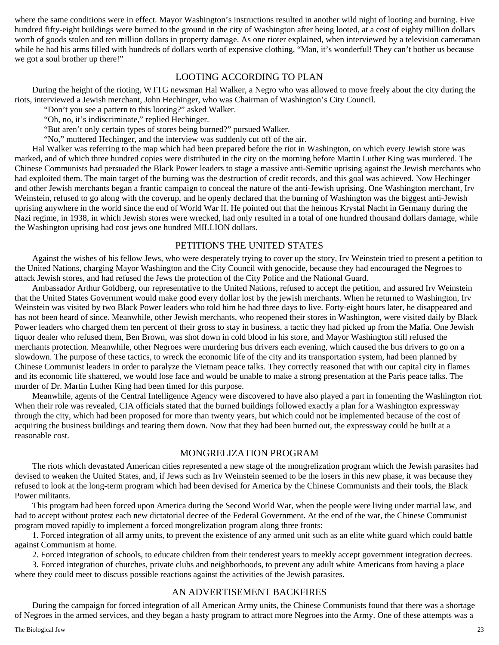where the same conditions were in effect. Mayor Washington's instructions resulted in another wild night of looting and burning. Five hundred fifty-eight buildings were burned to the ground in the city of Washington after being looted, at a cost of eighty million dollars worth of goods stolen and ten million dollars in property damage. As one rioter explained, when interviewed by a television cameraman while he had his arms filled with hundreds of dollars worth of expensive clothing, "Man, it's wonderful! They can't bother us because we got a soul brother up there!"

# LOOTING ACCORDING TO PLAN

During the height of the rioting, WTTG newsman Hal Walker, a Negro who was allowed to move freely about the city during the riots, interviewed a Jewish merchant, John Hechinger, who was Chairman of Washington's City Council.

"Don't you see a pattern to this looting?" asked Walker.

"Oh, no, it's indiscriminate," replied Hechinger.

"But aren't only certain types of stores being burned?" pursued Walker.

"No," muttered Hechinger, and the interview was suddenly cut off of the air.

Hal Walker was referring to the map which had been prepared before the riot in Washington, on which every Jewish store was marked, and of which three hundred copies were distributed in the city on the morning before Martin Luther King was murdered. The Chinese Communists had persuaded the Black Power leaders to stage a massive anti-Semitic uprising against the Jewish merchants who had exploited them. The main target of the burning was the destruction of credit records, and this goal was achieved. Now Hechinger and other Jewish merchants began a frantic campaign to conceal the nature of the anti-Jewish uprising. One Washington merchant, Irv Weinstein, refused to go along with the coverup, and he openly declared that the burning of Washington was the biggest anti-Jewish uprising anywhere in the world since the end of World War II. He pointed out that the heinous Krystal Nacht in Germany during the Nazi regime, in 1938, in which Jewish stores were wrecked, had only resulted in a total of one hundred thousand dollars damage, while the Washington uprising had cost jews one hundred MILLION dollars.

## PETITIONS THE UNITED STATES

Against the wishes of his fellow Jews, who were desperately trying to cover up the story, Irv Weinstein tried to present a petition to the United Nations, charging Mayor Washington and the City Council with genocide, because they had encouraged the Negroes to attack Jewish stores, and had refused the Jews the protection of the City Police and the National Guard.

Ambassador Arthur Goldberg, our representative to the United Nations, refused to accept the petition, and assured Irv Weinstein that the United States Government would make good every dollar lost by the jewish merchants. When he returned to Washington, Irv Weinstein was visited by two Black Power leaders who told him he had three days to live. Forty-eight hours later, he disappeared and has not been heard of since. Meanwhile, other Jewish merchants, who reopened their stores in Washington, were visited daily by Black Power leaders who charged them ten percent of their gross to stay in business, a tactic they had picked up from the Mafia. One Jewish liquor dealer who refused them, Ben Brown, was shot down in cold blood in his store, and Mayor Washington still refused the merchants protection. Meanwhile, other Negroes were murdering bus drivers each evening, which caused the bus drivers to go on a slowdown. The purpose of these tactics, to wreck the economic life of the city and its transportation system, had been planned by Chinese Communist leaders in order to paralyze the Vietnam peace talks. They correctly reasoned that with our capital city in flames and its economic life shattered, we would lose face and would be unable to make a strong presentation at the Paris peace talks. The murder of Dr. Martin Luther King had been timed for this purpose.

Meanwhile, agents of the Central Intelligence Agency were discovered to have also played a part in fomenting the Washington riot. When their role was revealed, CIA officials stated that the burned buildings followed exactly a plan for a Washington expressway through the city, which had been proposed for more than twenty years, but which could not be implemented because of the cost of acquiring the business buildings and tearing them down. Now that they had been burned out, the expressway could be built at a reasonable cost.

#### MONGRELIZATION PROGRAM

The riots which devastated American cities represented a new stage of the mongrelization program which the Jewish parasites had devised to weaken the United States, and, if Jews such as Irv Weinstein seemed to be the losers in this new phase, it was because they refused to look at the long-term program which had been devised for America by the Chinese Communists and their tools, the Black Power militants.

This program had been forced upon America during the Second World War, when the people were living under martial law, and had to accept without protest each new dictatorial decree of the Federal Government. At the end of the war, the Chinese Communist program moved rapidly to implement a forced mongrelization program along three fronts:

1. Forced integration of all army units, to prevent the existence of any armed unit such as an elite white guard which could battle against Communism at home.

2. Forced integration of schools, to educate children from their tenderest years to meekly accept government integration decrees.

3. Forced integration of churches, private clubs and neighborhoods, to prevent any adult white Americans from having a place where they could meet to discuss possible reactions against the activities of the Jewish parasites.

# AN ADVERTISEMENT BACKFIRES

During the campaign for forced integration of all American Army units, the Chinese Communists found that there was a shortage of Negroes in the armed services, and they began a hasty program to attract more Negroes into the Army. One of these attempts was a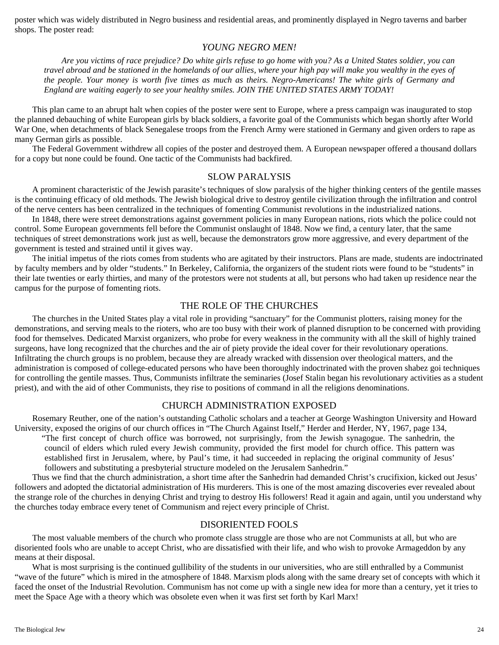poster which was widely distributed in Negro business and residential areas, and prominently displayed in Negro taverns and barber shops. The poster read:

# *YOUNG NEGRO MEN!*

*Are you victims of race prejudice? Do white girls refuse to go home with you? As a United States soldier, you can travel abroad and be stationed in the homelands of our allies, where your high pay will make you wealthy in the eyes of the people. Your money is worth five times as much as theirs. Negro-Americans! The white girls of Germany and England are waiting eagerly to see your healthy smiles. JOIN THE UNITED STATES ARMY TODAY!* 

This plan came to an abrupt halt when copies of the poster were sent to Europe, where a press campaign was inaugurated to stop the planned debauching of white European girls by black soldiers, a favorite goal of the Communists which began shortly after World War One, when detachments of black Senegalese troops from the French Army were stationed in Germany and given orders to rape as many German girls as possible.

The Federal Government withdrew all copies of the poster and destroyed them. A European newspaper offered a thousand dollars for a copy but none could be found. One tactic of the Communists had backfired.

### SLOW PARALYSIS

A prominent characteristic of the Jewish parasite's techniques of slow paralysis of the higher thinking centers of the gentile masses is the continuing efficacy of old methods. The Jewish biological drive to destroy gentile civilization through the infiltration and control of the nerve centers has been centralized in the techniques of fomenting Communist revolutions in the industrialized nations.

In 1848, there were street demonstrations against government policies in many European nations, riots which the police could not control. Some European governments fell before the Communist onslaught of 1848. Now we find, a century later, that the same techniques of street demonstrations work just as well, because the demonstrators grow more aggressive, and every department of the government is tested and strained until it gives way.

The initial impetus of the riots comes from students who are agitated by their instructors. Plans are made, students are indoctrinated by faculty members and by older "students." In Berkeley, California, the organizers of the student riots were found to be "students" in their late twenties or early thirties, and many of the protestors were not students at all, but persons who had taken up residence near the campus for the purpose of fomenting riots.

# THE ROLE OF THE CHURCHES

The churches in the United States play a vital role in providing "sanctuary" for the Communist plotters, raising money for the demonstrations, and serving meals to the rioters, who are too busy with their work of planned disruption to be concerned with providing food for themselves. Dedicated Marxist organizers, who probe for every weakness in the community with all the skill of highly trained surgeons, have long recognized that the churches and the air of piety provide the ideal cover for their revolutionary operations. Infiltrating the church groups is no problem, because they are already wracked with dissension over theological matters, and the administration is composed of college-educated persons who have been thoroughly indoctrinated with the proven shabez goi techniques for controlling the gentile masses. Thus, Communists infiltrate the seminaries (Josef Stalin began his revolutionary activities as a student priest), and with the aid of other Communists, they rise to positions of command in all the religions denominations.

# CHURCH ADMINISTRATION EXPOSED

Rosemary Reuther, one of the nation's outstanding Catholic scholars and a teacher at George Washington University and Howard University, exposed the origins of our church offices in "The Church Against Itself," Herder and Herder, NY, 1967, page 134, "The first concept of church office was borrowed, not surprisingly, from the Jewish synagogue. The sanhedrin, the

council of elders which ruled every Jewish community, provided the first model for church office. This pattern was established first in Jerusalem, where, by Paul's time, it had succeeded in replacing the original community of Jesus' followers and substituting a presbyterial structure modeled on the Jerusalem Sanhedrin."

Thus we find that the church administration, a short time after the Sanhedrin had demanded Christ's crucifixion, kicked out Jesus' followers and adopted the dictatorial administration of His murderers. This is one of the most amazing discoveries ever revealed about the strange role of the churches in denying Christ and trying to destroy His followers! Read it again and again, until you understand why the churches today embrace every tenet of Communism and reject every principle of Christ.

# DISORIENTED FOOLS

The most valuable members of the church who promote class struggle are those who are not Communists at all, but who are disoriented fools who are unable to accept Christ, who are dissatisfied with their life, and who wish to provoke Armageddon by any means at their disposal.

What is most surprising is the continued gullibility of the students in our universities, who are still enthralled by a Communist "wave of the future" which is mired in the atmosphere of 1848. Marxism plods along with the same dreary set of concepts with which it faced the onset of the Industrial Revolution. Communism has not come up with a single new idea for more than a century, yet it tries to meet the Space Age with a theory which was obsolete even when it was first set forth by Karl Marx!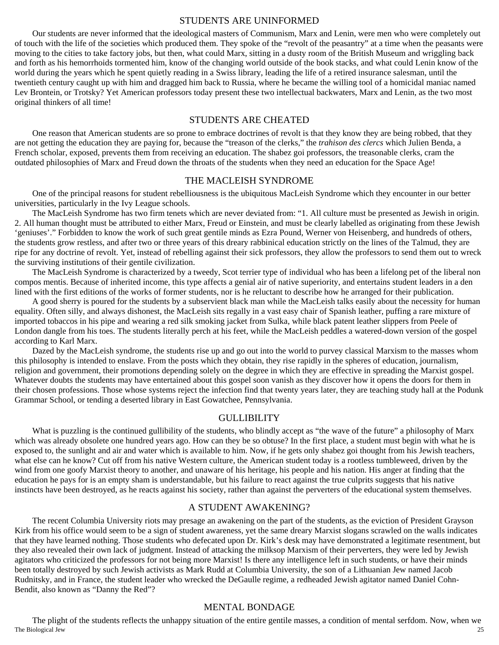#### STUDENTS ARE UNINFORMED

Our students are never informed that the ideological masters of Communism, Marx and Lenin, were men who were completely out of touch with the life of the societies which produced them. They spoke of the "revolt of the peasantry" at a time when the peasants were moving to the cities to take factory jobs, but then, what could Marx, sitting in a dusty room of the British Museum and wriggling back and forth as his hemorrhoids tormented him, know of the changing world outside of the book stacks, and what could Lenin know of the world during the years which he spent quietly reading in a Swiss library, leading the life of a retired insurance salesman, until the twentieth century caught up with him and dragged him back to Russia, where he became the willing tool of a homicidal maniac named Lev Brontein, or Trotsky? Yet American professors today present these two intellectual backwaters, Marx and Lenin, as the two most original thinkers of all time!

# STUDENTS ARE CHEATED

One reason that American students are so prone to embrace doctrines of revolt is that they know they are being robbed, that they are not getting the education they are paying for, because the "treason of the clerks," the *trahison des clercs* which Julien Benda, a French scholar, exposed, prevents them from receiving an education. The shabez goi professors, the treasonable clerks, cram the outdated philosophies of Marx and Freud down the throats of the students when they need an education for the Space Age!

## THE MACLEISH SYNDROME

One of the principal reasons for student rebelliousness is the ubiquitous MacLeish Syndrome which they encounter in our better universities, particularly in the Ivy League schools.

The MacLeish Syndrome has two firm tenets which are never deviated from: "1. All culture must be presented as Jewish in origin. 2. All human thought must be attributed to either Marx, Freud or Einstein, and must be clearly labelled as originating from these Jewish 'geniuses'." Forbidden to know the work of such great gentile minds as Ezra Pound, Werner von Heisenberg, and hundreds of others, the students grow restless, and after two or three years of this dreary rabbinical education strictly on the lines of the Talmud, they are ripe for any doctrine of revolt. Yet, instead of rebelling against their sick professors, they allow the professors to send them out to wreck the surviving institutions of their gentile civilization.

The MacLeish Syndrome is characterized by a tweedy, Scot terrier type of individual who has been a lifelong pet of the liberal non compos mentis. Because of inherited income, this type affects a genial air of native superiority, and entertains student leaders in a den lined with the first editions of the works of former students, nor is he reluctant to describe how he arranged for their publication.

A good sherry is poured for the students by a subservient black man while the MacLeish talks easily about the necessity for human equality. Often silly, and always dishonest, the MacLeish sits regally in a vast easy chair of Spanish leather, puffing a rare mixture of imported tobaccos in his pipe and wearing a red silk smoking jacket from Sulka, while black patent leather slippers from Peele of London dangle from his toes. The students literally perch at his feet, while the MacLeish peddles a watered-down version of the gospel according to Karl Marx.

Dazed by the MacLeish syndrome, the students rise up and go out into the world to purvey classical Marxism to the masses whom this philosophy is intended to enslave. From the posts which they obtain, they rise rapidly in the spheres of education, journalism, religion and government, their promotions depending solely on the degree in which they are effective in spreading the Marxist gospel. Whatever doubts the students may have entertained about this gospel soon vanish as they discover how it opens the doors for them in their chosen professions. Those whose systems reject the infection find that twenty years later, they are teaching study hall at the Podunk Grammar School, or tending a deserted library in East Gowatchee, Pennsylvania.

# **GULLIBILITY**

What is puzzling is the continued gullibility of the students, who blindly accept as "the wave of the future" a philosophy of Marx which was already obsolete one hundred years ago. How can they be so obtuse? In the first place, a student must begin with what he is exposed to, the sunlight and air and water which is available to him. Now, if he gets only shabez goi thought from his Jewish teachers, what else can he know? Cut off from his native Western culture, the American student today is a rootless tumbleweed, driven by the wind from one goofy Marxist theory to another, and unaware of his heritage, his people and his nation. His anger at finding that the education he pays for is an empty sham is understandable, but his failure to react against the true culprits suggests that his native instincts have been destroyed, as he reacts against his society, rather than against the perverters of the educational system themselves.

## A STUDENT AWAKENING?

The recent Columbia University riots may presage an awakening on the part of the students, as the eviction of President Grayson Kirk from his office would seem to be a sign of student awareness, yet the same dreary Marxist slogans scrawled on the walls indicates that they have learned nothing. Those students who defecated upon Dr. Kirk's desk may have demonstrated a legitimate resentment, but they also revealed their own lack of judgment. Instead of attacking the milksop Marxism of their perverters, they were led by Jewish agitators who criticized the professors for not being more Marxist! Is there any intelligence left in such students, or have their minds been totally destroyed by such Jewish activists as Mark Rudd at Columbia University, the son of a Lithuanian Jew named Jacob Rudnitsky, and in France, the student leader who wrecked the DeGaulle regime, a redheaded Jewish agitator named Daniel Cohn-Bendit, also known as "Danny the Red"?

#### MENTAL BONDAGE

The Biological Jew 25 The plight of the students reflects the unhappy situation of the entire gentile masses, a condition of mental serfdom. Now, when we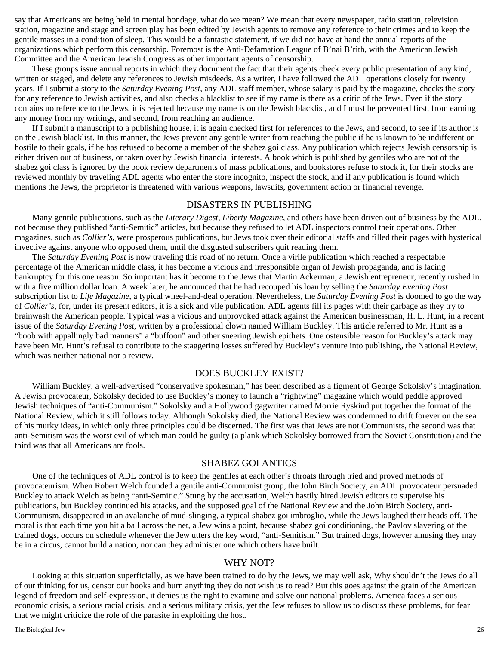say that Americans are being held in mental bondage, what do we mean? We mean that every newspaper, radio station, television station, magazine and stage and screen play has been edited by Jewish agents to remove any reference to their crimes and to keep the gentile masses in a condition of sleep. This would be a fantastic statement, if we did not have at hand the annual reports of the organizations which perform this censorship. Foremost is the Anti-Defamation League of B'nai B'rith, with the American Jewish Committee and the American Jewish Congress as other important agents of censorship.

These groups issue annual reports in which they document the fact that their agents check every public presentation of any kind, written or staged, and delete any references to Jewish misdeeds. As a writer, I have followed the ADL operations closely for twenty years. If I submit a story to the *Saturday Evening Post*, any ADL staff member, whose salary is paid by the magazine, checks the story for any reference to Jewish activities, and also checks a blacklist to see if my name is there as a critic of the Jews. Even if the story contains no reference to the Jews, it is rejected because my name is on the Jewish blacklist, and I must be prevented first, from earning any money from my writings, and second, from reaching an audience.

If I submit a manuscript to a publishing house, it is again checked first for references to the Jews, and second, to see if its author is on the Jewish blacklist. In this manner, the Jews prevent any gentile writer from reaching the public if he is known to be indifferent or hostile to their goals, if he has refused to become a member of the shabez goi class. Any publication which rejects Jewish censorship is either driven out of business, or taken over by Jewish financial interests. A book which is published by gentiles who are not of the shabez goi class is ignored by the book review departments of mass publications, and bookstores refuse to stock it, for their stocks are reviewed monthly by traveling ADL agents who enter the store incognito, inspect the stock, and if any publication is found which mentions the Jews, the proprietor is threatened with various weapons, lawsuits, government action or financial revenge.

#### DISASTERS IN PUBLISHING

Many gentile publications, such as the *Literary Digest*, *Liberty Magazine*, and others have been driven out of business by the ADL, not because they published "anti-Semitic" articles, but because they refused to let ADL inspectors control their operations. Other magazines, such as *Collier's*, were prosperous publications, but Jews took over their editorial staffs and filled their pages with hysterical invective against anyone who opposed them, until the disgusted subscribers quit reading them.

The *Saturday Evening Post* is now traveling this road of no return. Once a virile publication which reached a respectable percentage of the American middle class, it has become a vicious and irresponsible organ of Jewish propaganda, and is facing bankruptcy for this one reason. So important has it become to the Jews that Martin Ackerman, a Jewish entrepreneur, recently rushed in with a five million dollar loan. A week later, he announced that he had recouped his loan by selling the *Saturday Evening Post* subscription list to *Life Magazine*, a typical wheel-and-deal operation. Nevertheless, the *Saturday Evening Post* is doomed to go the way of *Collier's*, for, under its present editors, it is a sick and vile publication. ADL agents fill its pages with their garbage as they try to brainwash the American people. Typical was a vicious and unprovoked attack against the American businessman, H. L. Hunt, in a recent issue of the *Saturday Evening Post*, written by a professional clown named William Buckley. This article referred to Mr. Hunt as a "boob with appallingly bad manners" a "buffoon" and other sneering Jewish epithets. One ostensible reason for Buckley's attack may have been Mr. Hunt's refusal to contribute to the staggering losses suffered by Buckley's venture into publishing, the National Review, which was neither national nor a review.

# DOES BUCKLEY EXIST?

William Buckley, a well-advertised "conservative spokesman," has been described as a figment of George Sokolsky's imagination. A Jewish provocateur, Sokolsky decided to use Buckley's money to launch a "rightwing" magazine which would peddle approved Jewish techniques of "anti-Communism." Sokolsky and a Hollywood gagwriter named Morrie Ryskind put together the format of the National Review, which it still follows today. Although Sokolsky died, the National Review was condemned to drift forever on the sea of his murky ideas, in which only three principles could be discerned. The first was that Jews are not Communists, the second was that anti-Semitism was the worst evil of which man could he guilty (a plank which Sokolsky borrowed from the Soviet Constitution) and the third was that all Americans are fools.

#### SHABEZ GOI ANTICS

One of the techniques of ADL control is to keep the gentiles at each other's throats through tried and proved methods of provocateurism. When Robert Welch founded a gentile anti-Communist group, the John Birch Society, an ADL provocateur persuaded Buckley to attack Welch as being "anti-Semitic." Stung by the accusation, Welch hastily hired Jewish editors to supervise his publications, but Buckley continued his attacks, and the supposed goal of the National Review and the John Birch Society, anti-Communism, disappeared in an avalanche of mud-slinging, a typical shabez goi imbroglio, while the Jews laughed their heads off. The moral is that each time you hit a ball across the net, a Jew wins a point, because shabez goi conditioning, the Pavlov slavering of the trained dogs, occurs on schedule whenever the Jew utters the key word, "anti-Semitism." But trained dogs, however amusing they may be in a circus, cannot build a nation, nor can they administer one which others have built.

#### WHY NOT?

Looking at this situation superficially, as we have been trained to do by the Jews, we may well ask, Why shouldn't the Jews do all of our thinking for us, censor our books and burn anything they do not wish us to read? But this goes against the grain of the American legend of freedom and self-expression, it denies us the right to examine and solve our national problems. America faces a serious economic crisis, a serious racial crisis, and a serious military crisis, yet the Jew refuses to allow us to discuss these problems, for fear that we might criticize the role of the parasite in exploiting the host.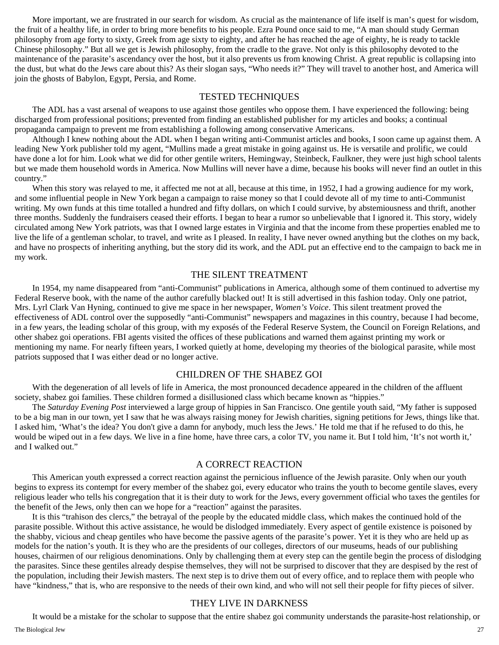More important, we are frustrated in our search for wisdom. As crucial as the maintenance of life itself is man's quest for wisdom, the fruit of a healthy life, in order to bring more benefits to his people. Ezra Pound once said to me, "A man should study German philosophy from age forty to sixty, Greek from age sixty to eighty, and after he has reached the age of eighty, he is ready to tackle Chinese philosophy." But all we get is Jewish philosophy, from the cradle to the grave. Not only is this philosophy devoted to the maintenance of the parasite's ascendancy over the host, but it also prevents us from knowing Christ. A great republic is collapsing into the dust, but what do the Jews care about this? As their slogan says, "Who needs it?" They will travel to another host, and America will join the ghosts of Babylon, Egypt, Persia, and Rome.

#### TESTED TECHNIQUES

The ADL has a vast arsenal of weapons to use against those gentiles who oppose them. I have experienced the following: being discharged from professional positions; prevented from finding an established publisher for my articles and books; a continual propaganda campaign to prevent me from establishing a following among conservative Americans.

Although I knew nothing about the ADL when I began writing anti-Communist articles and books, I soon came up against them. A leading New York publisher told my agent, "Mullins made a great mistake in going against us. He is versatile and prolific, we could have done a lot for him. Look what we did for other gentile writers, Hemingway, Steinbeck, Faulkner, they were just high school talents but we made them household words in America. Now Mullins will never have a dime, because his books will never find an outlet in this country."

When this story was relayed to me, it affected me not at all, because at this time, in 1952, I had a growing audience for my work, and some influential people in New York began a campaign to raise money so that I could devote all of my time to anti-Communist writing. My own funds at this time totalled a hundred and fifty dollars, on which I could survive, by abstemiousness and thrift, another three months. Suddenly the fundraisers ceased their efforts. I began to hear a rumor so unbelievable that I ignored it. This story, widely circulated among New York patriots, was that I owned large estates in Virginia and that the income from these properties enabled me to live the life of a gentleman scholar, to travel, and write as I pleased. In reality, I have never owned anything but the clothes on my back, and have no prospects of inheriting anything, but the story did its work, and the ADL put an effective end to the campaign to back me in my work.

# THE SILENT TREATMENT

In 1954, my name disappeared from "anti-Communist" publications in America, although some of them continued to advertise my Federal Reserve book, with the name of the author carefully blacked out! It is still advertised in this fashion today. Only one patriot, Mrs. Lyrl Clark Van Hyning, continued to give me space in her newspaper, *Women's Voice*. This silent treatment proved the effectiveness of ADL control over the supposedly "anti-Communist" newspapers and magazines in this country, because I had become, in a few years, the leading scholar of this group, with my exposés of the Federal Reserve System, the Council on Foreign Relations, and other shabez goi operations. FBI agents visited the offices of these publications and warned them against printing my work or mentioning my name. For nearly fifteen years, I worked quietly at home, developing my theories of the biological parasite, while most patriots supposed that I was either dead or no longer active.

## CHILDREN OF THE SHABEZ GOI

With the degeneration of all levels of life in America, the most pronounced decadence appeared in the children of the affluent society, shabez goi families. These children formed a disillusioned class which became known as "hippies."

The *Saturday Evening Post* interviewed a large group of hippies in San Francisco. One gentile youth said, "My father is supposed to be a big man in our town, yet I saw that he was always raising money for Jewish charities, signing petitions for Jews, things like that. I asked him, 'What's the idea? You don't give a damn for anybody, much less the Jews.' He told me that if he refused to do this, he would be wiped out in a few days. We live in a fine home, have three cars, a color TV, you name it. But I told him, 'It's not worth it,' and I walked out."

## A CORRECT REACTION

This American youth expressed a correct reaction against the pernicious influence of the Jewish parasite. Only when our youth begins to express its contempt for every member of the shabez goi, every educator who trains the youth to become gentile slaves, every religious leader who tells his congregation that it is their duty to work for the Jews, every government official who taxes the gentiles for the benefit of the Jews, only then can we hope for a "reaction" against the parasites.

It is this "trahison des clercs," the betrayal of the people by the educated middle class, which makes the continued hold of the parasite possible. Without this active assistance, he would be dislodged immediately. Every aspect of gentile existence is poisoned by the shabby, vicious and cheap gentiles who have become the passive agents of the parasite's power. Yet it is they who are held up as models for the nation's youth. It is they who are the presidents of our colleges, directors of our museums, heads of our publishing houses, chairmen of our religious denominations. Only by challenging them at every step can the gentile begin the process of dislodging the parasites. Since these gentiles already despise themselves, they will not be surprised to discover that they are despised by the rest of the population, including their Jewish masters. The next step is to drive them out of every office, and to replace them with people who have "kindness," that is, who are responsive to the needs of their own kind, and who will not sell their people for fifty pieces of silver.

#### THEY LIVE IN DARKNESS

The Biological Jew 27 It would be a mistake for the scholar to suppose that the entire shabez goi community understands the parasite-host relationship, or